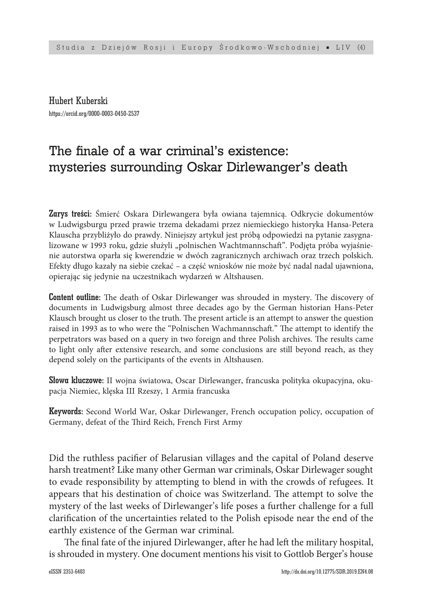Hubert Kuberski https://orcid.org/0000-0003-0450-2537

# The finale of a war criminal's existence: mysteries surrounding Oskar Dirlewanger's death

Zarys treści: Śmierć Oskara Dirlewangera była owiana tajemnicą. Odkrycie dokumentów w Ludwigsburgu przed prawie trzema dekadami przez niemieckiego historyka Hansa-Petera Klauscha przybliżyło do prawdy. Niniejszy artykuł jest próbą odpowiedzi na pytanie zasygnalizowane w 1993 roku, gdzie służyli "polnischen Wachtmannschaft". Podjęta próba wyjaśnienie autorstwa oparła się kwerendzie w dwóch zagranicznych archiwach oraz trzech polskich. Efekty długo kazały na siebie czekać – a część wniosków nie może być nadal nadal ujawniona, opierając się jedynie na uczestnikach wydarzeń w Altshausen.

Content outline: The death of Oskar Dirlewanger was shrouded in mystery. The discovery of documents in Ludwigsburg almost three decades ago by the German historian Hans-Peter Klausch brought us closer to the truth. The present article is an attempt to answer the question raised in 1993 as to who were the "Polnischen Wachmannschaft." The attempt to identify the perpetrators was based on a query in two foreign and three Polish archives. The results came to light only after extensive research, and some conclusions are still beyond reach, as they depend solely on the participants of the events in Altshausen.

Słowa kluczowe: II wojna światowa, Oscar Dirlewanger, francuska polityka okupacyjna, okupacja Niemiec, klęska III Rzeszy, 1 Armia francuska

Keywords: Second World War, Oskar Dirlewanger, French occupation policy, occupation of Germany, defeat of the Third Reich, French First Army

Did the ruthless pacifier of Belarusian villages and the capital of Poland deserve harsh treatment? Like many other German war criminals, Oskar Dirlewager sought to evade responsibility by attempting to blend in with the crowds of refugees. It appears that his destination of choice was Switzerland. The attempt to solve the mystery of the last weeks of Dirlewanger's life poses a further challenge for a full clarification of the uncertainties related to the Polish episode near the end of the earthly existence of the German war criminal.

The final fate of the injured Dirlewanger, after he had left the military hospital, is shrouded in mystery. One document mentions his visit to Gottlob Berger's house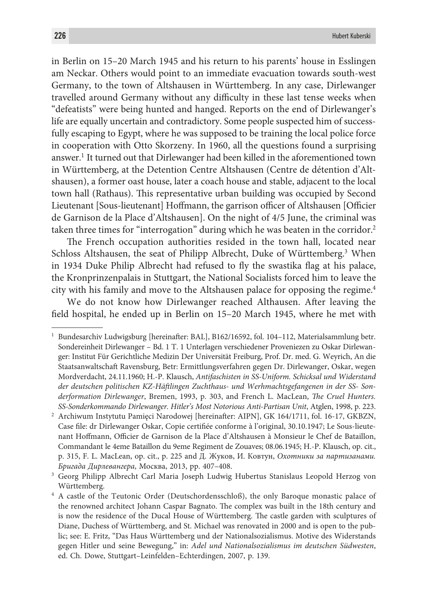in Berlin on 15–20 March 1945 and his return to his parents' house in Esslingen am Neckar. Others would point to an immediate evacuation towards south-west Germany, to the town of Altshausen in Württemberg. In any case, Dirlewanger travelled around Germany without any difficulty in these last tense weeks when "defeatists" were being hunted and hanged. Reports on the end of Dirlewanger's life are equally uncertain and contradictory. Some people suspected him of successfully escaping to Egypt, where he was supposed to be training the local police force in cooperation with Otto Skorzeny. In 1960, all the questions found a surprising answer.1 It turned out that Dirlewanger had been killed in the aforementioned town in Württemberg, at the Detention Centre Altshausen (Centre de détention d'Altshausen), a former oast house, later a coach house and stable, adjacent to the local town hall (Rathaus). This representative urban building was occupied by Second Lieutenant [Sous-lieutenant] Hoffmann, the garrison officer of Altshausen [Officier de Garnison de la Place d'Altshausen]. On the night of 4/5 June, the criminal was taken three times for "interrogation" during which he was beaten in the corridor.<sup>2</sup>

The French occupation authorities resided in the town hall, located near Schloss Altshausen, the seat of Philipp Albrecht, Duke of Württemberg.<sup>3</sup> When in 1934 Duke Philip Albrecht had refused to fly the swastika flag at his palace, the Kronprinzenpalais in Stuttgart, the National Socialists forced him to leave the city with his family and move to the Altshausen palace for opposing the regime.4

We do not know how Dirlewanger reached Althausen. After leaving the field hospital, he ended up in Berlin on 15–20 March 1945, where he met with

<sup>1</sup> Bundesarchiv Ludwigsburg [hereinafter: BAL], B162/16592, fol. 104–112, Materialsammlung betr. Sondereinheit Dirlewanger – Bd. 1 T. 1 Unterlagen verschiedener Proveniezen zu Oskar Dirlewanger: Institut Für Gerichtliche Medizin Der Universität Freiburg, Prof. Dr. med. G. Weyrich, An die Staatsanwaltschaft Ravensburg, Betr: Ermittlungsverfahren gegen Dr. Dirlewanger, Oskar, wegen Mordverdacht, 24.11.1960; H.-P. Klausch, *Antifaschisten in SS-Uniform. Schicksal und Widerstand der deutschen politischen KZ-Häftlingen Zuchthaus- und Werhmachtsgefangenen in der SS- Sonderformation Dirlewanger*, Bremen, 1993, p. 303, and French L. MacLean, *The Cruel Hunters. SS-Sonderkommando Dirlewanger. Hitler's Most Notorious Anti-Partisan Unit*, Atglen, 1998, p. 223.

<sup>2</sup> Archiwum Instytutu Pamięci Narodowej [hereinafter: AIPN], GK 164/1711, fol. 16-17, GKBZN, Case file: dr Dirlewanger Oskar, Copie certifiée conforme à l'original, 30.10.1947; Le Sous-lieutenant Hoffmann, Officier de Garnison de la Place d'Altshausen à Monsieur le Chef de Bataillon, Commandant le 4eme Bataillon du 9eme Regiment de Zouaves; 08.06.1945; H.-P. Klausch, op. cit., p. 315, F. L. MacLean, op. cit., p. 225 and Д. Жуков, И. Ковтун, *Охотники за партизанами. Бригада Дирлевангера*, Москва, 2013, pp. 407–408.

<sup>3</sup> Georg Philipp Albrecht Carl Maria Joseph Ludwig Hubertus Stanislaus Leopold Herzog von Württemberg.

<sup>4</sup> A castle of the Teutonic Order (Deutschordensschloß), the only Baroque monastic palace of the renowned architect Johann Caspar Bagnato. The complex was built in the 18th century and is now the residence of the Ducal House of Württemberg. The castle garden with sculptures of Diane, Duchess of Württemberg, and St. Michael was renovated in 2000 and is open to the public; see: E. Fritz, "Das Haus Württemberg und der Nationalsozialismus. Motive des Widerstands gegen Hitler und seine Bewegung," in: *Adel und Nationalsozialismus im deutschen Südwesten*, ed. Ch. Dowe, Stuttgart–Leinfelden–Echterdingen, 2007, p. 139.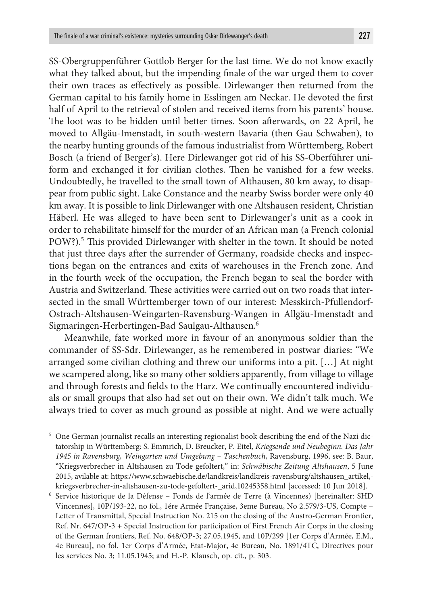SS-Obergruppenführer Gottlob Berger for the last time. We do not know exactly what they talked about, but the impending finale of the war urged them to cover their own traces as effectively as possible. Dirlewanger then returned from the German capital to his family home in Esslingen am Neckar. He devoted the first half of April to the retrieval of stolen and received items from his parents' house. The loot was to be hidden until better times. Soon afterwards, on 22 April, he moved to Allgäu-Imenstadt, in south-western Bavaria (then Gau Schwaben), to the nearby hunting grounds of the famous industrialist from Württemberg, Robert Bosch (a friend of Berger's). Here Dirlewanger got rid of his SS-Oberführer uniform and exchanged it for civilian clothes. Then he vanished for a few weeks. Undoubtedly, he travelled to the small town of Althausen, 80 km away, to disappear from public sight. Lake Constance and the nearby Swiss border were only 40 km away. It is possible to link Dirlewanger with one Altshausen resident, Christian Häberl. He was alleged to have been sent to Dirlewanger's unit as a cook in order to rehabilitate himself for the murder of an African man (a French colonial POW?).<sup>5</sup> This provided Dirlewanger with shelter in the town. It should be noted that just three days after the surrender of Germany, roadside checks and inspections began on the entrances and exits of warehouses in the French zone. And in the fourth week of the occupation, the French began to seal the border with Austria and Switzerland. These activities were carried out on two roads that intersected in the small Württemberger town of our interest: Messkirch-Pfullendorf-Ostrach-Altshausen-Weingarten-Ravensburg-Wangen in Allgäu-Imenstadt and Sigmaringen-Herbertingen-Bad Saulgau-Althausen.6

Meanwhile, fate worked more in favour of an anonymous soldier than the commander of SS-Sdr. Dirlewanger, as he remembered in postwar diaries: "We arranged some civilian clothing and threw our uniforms into a pit. […] At night we scampered along, like so many other soldiers apparently, from village to village and through forests and fields to the Harz. We continually encountered individuals or small groups that also had set out on their own. We didn't talk much. We always tried to cover as much ground as possible at night. And we were actually

<sup>5</sup> One German journalist recalls an interesting regionalist book describing the end of the Nazi dictatorship in Württemberg: S. Emmrich, D. Breucker, P. Eitel, *Kriegsende und Neubeginn. Das Jahr 1945 in Ravensburg, Weingarten und Umgebung – Taschenbuch*, Ravensburg, 1996, see: B. Baur, "Kriegsverbrecher in Altshausen zu Tode gefoltert," in: *Schwäbische Zeitung Altshausen*, 5 June 2015, avilable at: https://www.schwaebische.de/landkreis/landkreis-ravensburg/altshausen\_artikel, kriegsverbrecher-in-altshausen-zu-tode-gefoltert-\_arid,10245358.html [accessed: 10 Jun 2018].

<sup>6</sup> Service historique de la Défense – Fonds de l'armée de Terre (à Vincennes) [hereinafter: SHD Vincennes], 10P/193-22, no fol., 1ére Armée Française, 3eme Bureau, No 2.579/3-US, Compte – Letter of Transmittal, Special Instruction No. 215 on the closing of the Austro-German Frontier, Ref. Nr. 647/OP-3 + Special Instruction for participation of First French Air Corps in the closing of the German frontiers, Ref. No. 648/OP-3; 27.05.1945, and 10P/299 [1er Corps d'Armée, E.M., 4e Bureau], no fol. 1er Corps d'Armée, Etat-Major, 4e Bureau, No. 1891/4TC, Directives pour les services No. 3; 11.05.1945; and Н.-Р. Klausch, op. cit., p. 303.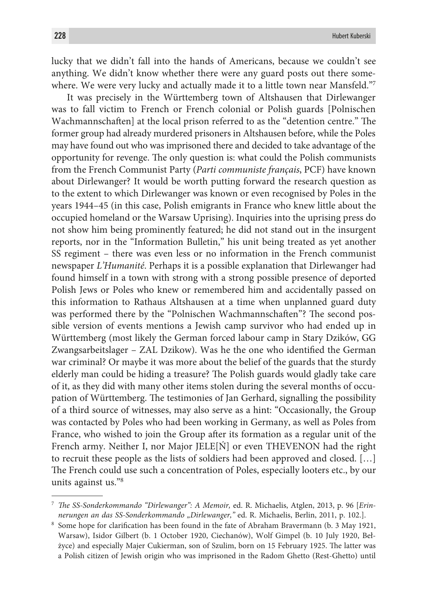lucky that we didn't fall into the hands of Americans, because we couldn't see anything. We didn't know whether there were any guard posts out there somewhere. We were very lucky and actually made it to a little town near Mansfeld."<sup>7</sup>

It was precisely in the Württemberg town of Altshausen that Dirlewanger was to fall victim to French or French colonial or Polish guards [Polnischen Wachmannschaften] at the local prison referred to as the "detention centre." The former group had already murdered prisoners in Altshausen before, while the Poles may have found out who was imprisoned there and decided to take advantage of the opportunity for revenge. The only question is: what could the Polish communists from the French Communist Party (*Parti communiste français*, PCF) have known about Dirlewanger? It would be worth putting forward the research question as to the extent to which Dirlewanger was known or even recognised by Poles in the years 1944–45 (in this case, Polish emigrants in France who knew little about the occupied homeland or the Warsaw Uprising). Inquiries into the uprising press do not show him being prominently featured; he did not stand out in the insurgent reports, nor in the "Information Bulletin," his unit being treated as yet another SS regiment – there was even less or no information in the French communist newspaper *L'Humanité*. Perhaps it is a possible explanation that Dirlewanger had found himself in a town with strong with a strong possible presence of deported Polish Jews or Poles who knew or remembered him and accidentally passed on this information to Rathaus Altshausen at a time when unplanned guard duty was performed there by the "Polnischen Wachmannschaften"? The second possible version of events mentions a Jewish camp survivor who had ended up in Württemberg (most likely the German forced labour camp in Stary Dzików, GG Zwangsarbeitslager – ZAL Dzikow). Was he the one who identified the German war criminal? Or maybe it was more about the belief of the guards that the sturdy elderly man could be hiding a treasure? The Polish guards would gladly take care of it, as they did with many other items stolen during the several months of occupation of Württemberg. The testimonies of Jan Gerhard, signalling the possibility of a third source of witnesses, may also serve as a hint: "Occasionally, the Group was contacted by Poles who had been working in Germany, as well as Poles from France, who wished to join the Group after its formation as a regular unit of the French army. Neither I, nor Major JELE[Ń] or even THEVENON had the right to recruit these people as the lists of soldiers had been approved and closed. […] The French could use such a concentration of Poles, especially looters etc., by our units against us."8

<sup>7</sup> *The SS-Sonderkommando "Dirlewanger": A Memoir,* ed. R. Michaelis, Atglen, 2013, p. 96 [*Erinnerungen an das SS-Sonderkommando "Dirlewanger,"* ed. R. Michaelis, Berlin, 2011, p. 102.].

<sup>8</sup> Some hope for clarification has been found in the fate of Abraham Bravermann (b. 3 May 1921, Warsaw), Isidor Gilbert (b. 1 October 1920, Ciechanów), Wolf Gimpel (b. 10 July 1920, Bełżyce) and especially Majer Cukierman, son of Szulim, born on 15 February 1925. The latter was a Polish citizen of Jewish origin who was imprisoned in the Radom Ghetto (Rest-Ghetto) until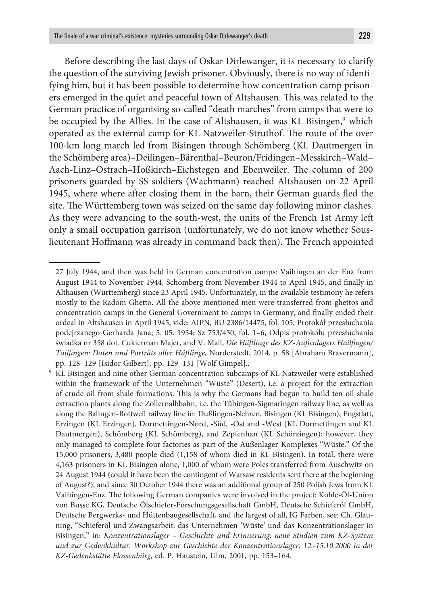Before describing the last days of Oskar Dirlewanger, it is necessary to clarify the question of the surviving Jewish prisoner. Obviously, there is no way of identifying him, but it has been possible to determine how concentration camp prisoners emerged in the quiet and peaceful town of Altshausen. This was related to the German practice of organising so-called "death marches" from camps that were to be occupied by the Allies. In the case of Altshausen, it was KL Bisingen,<sup>9</sup> which operated as the external camp for KL Natzweiler-Struthof. The route of the over 100-km long march led from Bisingen through Schömberg (KL Dautmergen in the Schömberg area)–Deilingen–Bärenthal–Beuron/Fridingen–Messkirch–Wald– Aach-Linz–Ostrach–Hoßkirch–Eichstegen and Ebenweiler. The column of 200 prisoners guarded by SS soldiers (Wachmann) reached Altshausen on 22 April 1945, where where after closing them in the barn, their German guards fled the site. The Württemberg town was seized on the same day following minor clashes. As they were advancing to the south-west, the units of the French 1st Army left only a small occupation garrison (unfortunately, we do not know whether Souslieutenant Hoffmann was already in command back then). The French appointed

<sup>27</sup> July 1944, and then was held in German concentration camps: Vaihingen an der Enz from August 1944 to November 1944, Schömberg from November 1944 to April 1945, and finally in Althausen (Württemberg) since 23 April 1945. Unfortunately, in the available testimony he refers mostly to the Radom Ghetto. All the above mentioned men were transferred from ghettos and concentration camps in the General Government to camps in Germany, and finally ended their ordeal in Altshausen in April 1945, vide: AIPN, BU 2386/14475, fol. 105, Protokół przesłuchania podejrzanego Gerharda Jana; 5. 05. 1954; Sz 753/450, fol. 1–6, Odpis protokołu przesłuchania świadka nr 358 dot. Cukierman Majer, and V. Mall, *Die Häftlinge des KZ-Außenlagers Hailfingen/ Tailfingen: Daten und Porträts aller Häftlinge,* Norderstedt, 2014, p. 58 [Abraham Bravermann], pp. 128–129 [Isidor Gilbert], pp. 129–131 [Wolf Gimpel]..

<sup>9</sup> KL Bisingen and nine other German concentration subcamps of KL Natzweiler were established within the framework of the Unternehmen "Wüste" (Desert), i.e. a project for the extraction of crude oil from shale formations. This is why the Germans had begun to build ten oil shale extraction plants along the Zollernalbbahn, i.e. the Tübingen-Sigmaringen railway line, as well as along the Balingen-Rottweil railway line in: Dußlingen-Nehren, Bisingen (KL Bisingen), Engstlatt, Erzingen (KL Erzingen), Dormettingen-Nord, -Süd, -Ost and -West (KL Dormettingen and KL Dautmergen), Schömberg (KL Schömberg), and Zepfenhan (KL Schörzingen); however, they only managed to complete four factories as part of the Außenlager-Komplexes "Wüste." Of the 15,000 prisoners, 3,480 people died (1,158 of whom died in KL Bisingen). In total, there were 4,163 prisoners in KL Bisingen alone, 1,000 of whom were Poles transferred from Auschwitz on 24 August 1944 (could it have been the contingent of Warsaw residents sent there at the beginning of August?), and since 30 October 1944 there was an additional group of 250 Polish Jews from KL Vaihingen-Enz. The following German companies were involved in the project: Kohle-Öl-Union von Busse KG, Deutsche Ölschiefer-Forschungsgesellschaft GmbH, Deutsche Schieferöl GmbH, Deutsche Bergwerks- und Hüttenbaugesellschaft, and the largest of all, IG Farben, see: Ch. Glauning, "Schieferöl und Zwangsarbeit: das Unternehmen 'Wüste' und das Konzentrationslager in Bisingen," in: *Konzentrationslager – Geschichte und Erinnerung: neue Studien zum KZ-System und zur Gedenkkultur. Workshop zur Geschichte der Konzentrationslager, 12.-15.10.2000 in der KZ-Gedenkstätte Flossenbürg*, ed. P. Haustein, Ulm, 2001, pp. 153–164.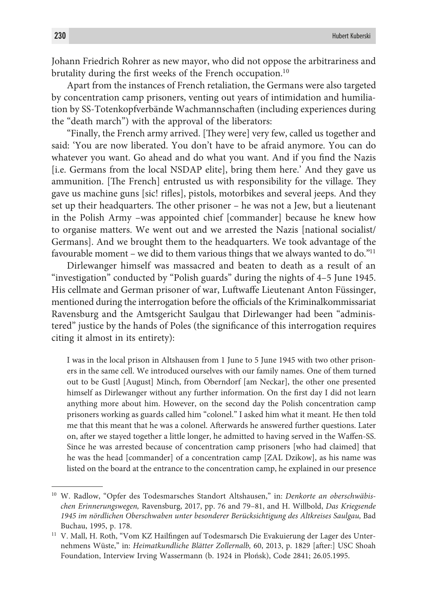Johann Friedrich Rohrer as new mayor, who did not oppose the arbitrariness and brutality during the first weeks of the French occupation.10

Apart from the instances of French retaliation, the Germans were also targeted by concentration camp prisoners, venting out years of intimidation and humiliation by SS-Totenkopfverbände Wachmannschaften (including experiences during the "death march") with the approval of the liberators:

"Finally, the French army arrived. [They were] very few, called us together and said: 'You are now liberated. You don't have to be afraid anymore. You can do whatever you want. Go ahead and do what you want. And if you find the Nazis [i.e. Germans from the local NSDAP elite], bring them here.' And they gave us ammunition. [The French] entrusted us with responsibility for the village. They gave us machine guns [sic! rifles], pistols, motorbikes and several jeeps. And they set up their headquarters. The other prisoner – he was not a Jew, but a lieutenant in the Polish Army –was appointed chief [commander] because he knew how to organise matters. We went out and we arrested the Nazis [national socialist/ Germans]. And we brought them to the headquarters. We took advantage of the favourable moment – we did to them various things that we always wanted to do."11

Dirlewanger himself was massacred and beaten to death as a result of an "investigation" conducted by "Polish guards" during the nights of 4–5 June 1945. His cellmate and German prisoner of war, Luftwaffe Lieutenant Anton Füssinger, mentioned during the interrogation before the officials of the Kriminalkommissariat Ravensburg and the Amtsgericht Saulgau that Dirlewanger had been "administered" justice by the hands of Poles (the significance of this interrogation requires citing it almost in its entirety):

I was in the local prison in Altshausen from 1 June to 5 June 1945 with two other prisoners in the same cell. We introduced ourselves with our family names. One of them turned out to be Gustl [August] Minch, from Oberndorf [am Neckar], the other one presented himself as Dirlewanger without any further information. On the first day I did not learn anything more about him. However, on the second day the Polish concentration camp prisoners working as guards called him "colonel." I asked him what it meant. He then told me that this meant that he was a colonel. Afterwards he answered further questions. Later on, after we stayed together a little longer, he admitted to having served in the Waffen-SS. Since he was arrested because of concentration camp prisoners [who had claimed] that he was the head [commander] of a concentration camp [ZAL Dzikow], as his name was listed on the board at the entrance to the concentration camp, he explained in our presence

<sup>10</sup> W. Radlow, "Opfer des Todesmarsches Standort Altshausen," in: *Denkorte an oberschwäbischen Erinnerungswegen,* Ravensburg, 2017, pp. 76 and 79–81, and H. Willbold, *Das Kriegsende 1945 im nördlichen Oberschwaben unter besonderer Berücksichtigung des Altkreises Saulgau,* Bad Buchau, 1995, p. 178.

<sup>&</sup>lt;sup>11</sup> V. Mall, H. Roth, "Vom KZ Hailfingen auf Todesmarsch Die Evakuierung der Lager des Unternehmens Wüste," in: *Heimatkundliche Blätter Zollernalb,* 60, 2013, p. 1829 [after:] USC Shoah Foundation, Interview Irving Wassermann (b. 1924 in Płońsk), Code 2841; 26.05.1995.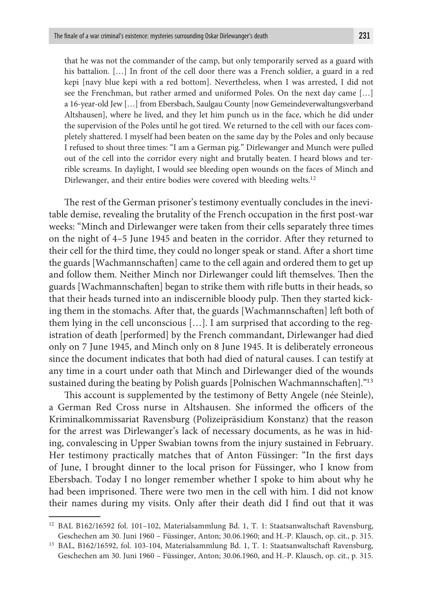that he was not the commander of the camp, but only temporarily served as a guard with his battalion. [...] In front of the cell door there was a French soldier, a guard in a red kepi [navy blue kepi with a red bottom]. Nevertheless, when I was arrested, I did not see the Frenchman, but rather armed and uniformed Poles. On the next day came […] a 16-year-old Jew […] from Ebersbach, Saulgau County [now Gemeindeverwaltungsverband Altshausen], where he lived, and they let him punch us in the face, which he did under the supervision of the Poles until he got tired. We returned to the cell with our faces completely shattered. I myself had been beaten on the same day by the Poles and only because I refused to shout three times: "I am a German pig." Dirlewanger and Munch were pulled out of the cell into the corridor every night and brutally beaten. I heard blows and terrible screams. In daylight, I would see bleeding open wounds on the faces of Minch and Dirlewanger, and their entire bodies were covered with bleeding welts.<sup>12</sup>

The rest of the German prisoner's testimony eventually concludes in the inevitable demise, revealing the brutality of the French occupation in the first post-war weeks: "Minch and Dirlewanger were taken from their cells separately three times on the night of 4–5 June 1945 and beaten in the corridor. After they returned to their cell for the third time, they could no longer speak or stand. After a short time the guards [Wachmannschaften] came to the cell again and ordered them to get up and follow them. Neither Minch nor Dirlewanger could lift themselves. Then the guards [Wachmannschaften] began to strike them with rifle butts in their heads, so that their heads turned into an indiscernible bloody pulp. Then they started kicking them in the stomachs. After that, the guards [Wachmannschaften] left both of them lying in the cell unconscious […]. I am surprised that according to the registration of death [performed] by the French commandant, Dirlewanger had died only on 7 June 1945, and Minch only on 8 June 1945. It is deliberately erroneous since the document indicates that both had died of natural causes. I can testify at any time in a court under oath that Minch and Dirlewanger died of the wounds sustained during the beating by Polish guards [Polnischen Wachmannschaften]."13

This account is supplemented by the testimony of Betty Angele (née Steinle), a German Red Cross nurse in Altshausen. She informed the officers of the Kriminalkommissariat Ravensburg (Polizeipräsidium Konstanz) that the reason for the arrest was Dirlewanger's lack of necessary documents, as he was in hiding, convalescing in Upper Swabian towns from the injury sustained in February. Her testimony practically matches that of Anton Füssinger: "In the first days of June, I brought dinner to the local prison for Füssinger, who I know from Ebersbach. Today I no longer remember whether I spoke to him about why he had been imprisoned. There were two men in the cell with him. I did not know their names during my visits. Only after their death did I find out that it was

<sup>12</sup> BAL B162/16592 fol. 101–102, Materialsammlung Bd. 1, T. 1: Staatsanwaltschaft Ravensburg, Geschechen am 30. Juni 1960 – Füssinger, Anton; 30.06.1960; and H.-P. Klausch, op. cit., p. 315.

<sup>13</sup> BAL, B162/16592, fol. 103-104, Materialsammlung Bd. 1, T. 1: Staatsanwaltschaft Ravensburg, Geschechen am 30. Juni 1960 – Füssinger, Anton; 30.06.1960, and H.-P. Klausch, op. cit., p. 315.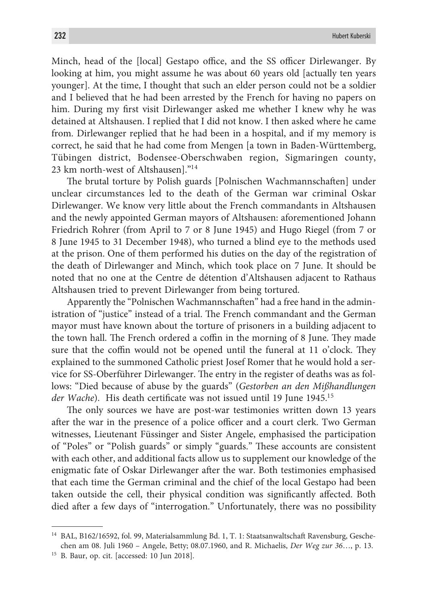Minch, head of the [local] Gestapo office, and the SS officer Dirlewanger. By looking at him, you might assume he was about 60 years old [actually ten years younger]. At the time, I thought that such an elder person could not be a soldier and I believed that he had been arrested by the French for having no papers on him. During my first visit Dirlewanger asked me whether I knew why he was detained at Altshausen. I replied that I did not know. I then asked where he came from. Dirlewanger replied that he had been in a hospital, and if my memory is correct, he said that he had come from Mengen [a town in Baden-Württemberg, Tübingen district, Bodensee-Oberschwaben region, Sigmaringen county, 23 km north-west of Altshausen]."14

The brutal torture by Polish guards [Polnischen Wachmannschaften] under unclear circumstances led to the death of the German war criminal Oskar Dirlewanger. We know very little about the French commandants in Altshausen and the newly appointed German mayors of Altshausen: aforementioned Johann Friedrich Rohrer (from April to 7 or 8 June 1945) and Hugo Riegel (from 7 or 8 June 1945 to 31 December 1948), who turned a blind eye to the methods used at the prison. One of them performed his duties on the day of the registration of the death of Dirlewanger and Minch, which took place on 7 June. It should be noted that no one at the Centre de détention d'Altshausen adjacent to Rathaus Altshausen tried to prevent Dirlewanger from being tortured.

Apparently the "Polnischen Wachmannschaften" had a free hand in the administration of "justice" instead of a trial. The French commandant and the German mayor must have known about the torture of prisoners in a building adjacent to the town hall. The French ordered a coffin in the morning of 8 June. They made sure that the coffin would not be opened until the funeral at 11 o'clock. They explained to the summoned Catholic priest Josef Romer that he would hold a service for SS-Oberführer Dirlewanger. The entry in the register of deaths was as follows: "Died because of abuse by the guards" (*Gestorben an den Mißhandlungen*  der Wache). His death certificate was not issued until 19 June 1945.<sup>15</sup>

The only sources we have are post-war testimonies written down 13 years after the war in the presence of a police officer and a court clerk. Two German witnesses, Lieutenant Füssinger and Sister Angele, emphasised the participation of "Poles" or "Polish guards" or simply "guards." These accounts are consistent with each other, and additional facts allow us to supplement our knowledge of the enigmatic fate of Oskar Dirlewanger after the war. Both testimonies emphasised that each time the German criminal and the chief of the local Gestapo had been taken outside the cell, their physical condition was significantly affected. Both died after a few days of "interrogation." Unfortunately, there was no possibility

<sup>15</sup> B. Baur, op. cit. [accessed: 10 Jun 2018].

<sup>&</sup>lt;sup>14</sup> BAL, B162/16592, fol. 99, Materialsammlung Bd. 1, T. 1: Staatsanwaltschaft Ravensburg, Geschechen am 08. Juli 1960 – Angele, Betty; 08.07.1960, and R. Michaelis, *Der Weg zur 36*…, p. 13.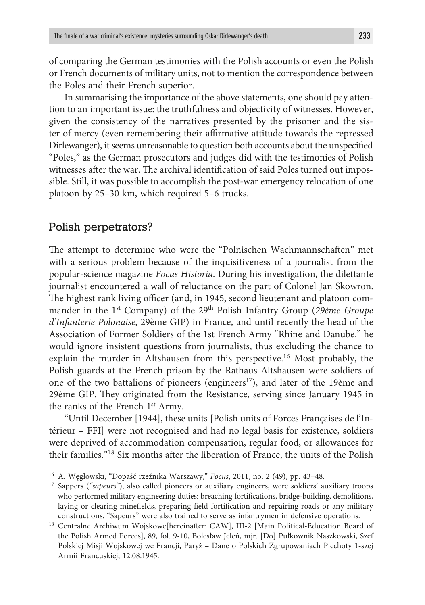of comparing the German testimonies with the Polish accounts or even the Polish or French documents of military units, not to mention the correspondence between the Poles and their French superior.

In summarising the importance of the above statements, one should pay attention to an important issue: the truthfulness and objectivity of witnesses. However, given the consistency of the narratives presented by the prisoner and the sister of mercy (even remembering their affirmative attitude towards the repressed Dirlewanger), it seems unreasonable to question both accounts about the unspecified "Poles," as the German prosecutors and judges did with the testimonies of Polish witnesses after the war. The archival identification of said Poles turned out impossible. Still, it was possible to accomplish the post-war emergency relocation of one platoon by 25–30 km, which required 5–6 trucks.

### Polish perpetrators?

The attempt to determine who were the "Polnischen Wachmannschaften" met with a serious problem because of the inquisitiveness of a journalist from the popular-science magazine *Focus Historia*. During his investigation, the dilettante journalist encountered a wall of reluctance on the part of Colonel Jan Skowron. The highest rank living officer (and, in 1945, second lieutenant and platoon commander in the 1<sup>st</sup> Company) of the 29<sup>th</sup> Polish Infantry Group (29ème Groupe *d'Infanterie Polonaise*, 29ème GIP) in France, and until recently the head of the Association of Former Soldiers of the 1st French Army "Rhine and Danube," he would ignore insistent questions from journalists, thus excluding the chance to explain the murder in Altshausen from this perspective.<sup>16</sup> Most probably, the Polish guards at the French prison by the Rathaus Altshausen were soldiers of one of the two battalions of pioneers (engineers<sup>17</sup>), and later of the 19<sup>ème</sup> and 29ème GIP. They originated from the Resistance, serving since January 1945 in the ranks of the French 1st Army.

"Until December [1944], these units [Polish units of Forces Françaises de l'Intérieur – FFI] were not recognised and had no legal basis for existence, soldiers were deprived of accommodation compensation, regular food, or allowances for their families."18 Six months after the liberation of France, the units of the Polish

<sup>16</sup> A. Węgłowski, "Dopaść rzeźnika Warszawy," *Focus*, 2011, no. 2 (49), pp. 43–48.

<sup>&</sup>lt;sup>17</sup> Sappers ("sapeurs"), also called pioneers or auxiliary engineers, were soldiers' auxiliary troops who performed military engineering duties: breaching fortifications, bridge-building, demolitions, laying or clearing minefields, preparing field fortification and repairing roads or any military constructions. "Sapeurs" were also trained to serve as infantrymen in defensive operations.

<sup>&</sup>lt;sup>18</sup> Centralne Archiwum Wojskowe[hereinafter: CAW], III-2 [Main Political-Education Board of the Polish Armed Forces], 89, fol. 9-10, Bolesław Jeleń, mjr. [Do] Pułkownik Naszkowski, Szef Polskiej Misji Wojskowej we Francji, Paryż – Dane o Polskich Zgrupowaniach Piechoty 1-szej Armii Francuskiej; 12.08.1945.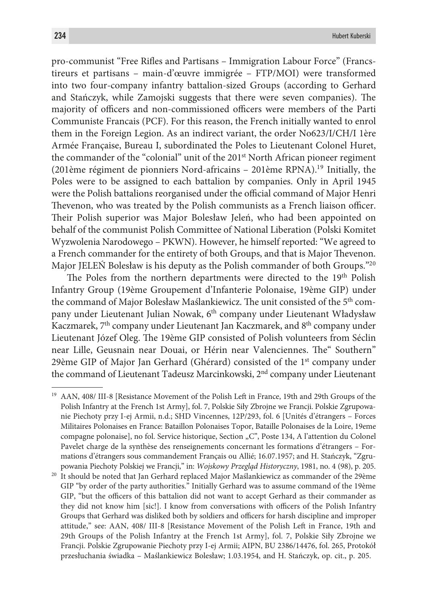pro-communist "Free Rifles and Partisans – Immigration Labour Force" (Francstireurs et partisans – main-d'œuvre immigrée – FTP/MOI) were transformed into two four-company infantry battalion-sized Groups (according to Gerhard and Stańczyk, while Zamojski suggests that there were seven companies). The majority of officers and non-commissioned officers were members of the Parti Communiste Francais (PCF). For this reason, the French initially wanted to enrol them in the Foreign Legion. As an indirect variant, the order No623/I/CH/I 1ère Armée Française, Bureau I, subordinated the Poles to Lieutenant Colonel Huret, the commander of the "colonial" unit of the  $201<sup>st</sup>$  North African pioneer regiment (201ème régiment de pionniers Nord-africains – 201ème RPNA).19 Initially, the Poles were to be assigned to each battalion by companies. Only in April 1945 were the Polish battalions reorganised under the official command of Major Henri Thevenon, who was treated by the Polish communists as a French liaison officer. Their Polish superior was Major Bolesław Jeleń, who had been appointed on behalf of the communist Polish Committee of National Liberation (Polski Komitet Wyzwolenia Narodowego – PKWN). However, he himself reported: "We agreed to a French commander for the entirety of both Groups, and that is Major Thevenon. Major JELEŃ Bolesław is his deputy as the Polish commander of both Groups."20

The Poles from the northern departments were directed to the 19<sup>th</sup> Polish Infantry Group (19ème Groupement d'Infanterie Polonaise, 19ème GIP) under the command of Major Bolesław Maślankiewicz. The unit consisted of the 5<sup>th</sup> company under Lieutenant Julian Nowak, 6th company under Lieutenant Władysław Kaczmarek, 7<sup>th</sup> company under Lieutenant Jan Kaczmarek, and 8<sup>th</sup> company under Lieutenant Józef Oleg. The 19ème GIP consisted of Polish volunteers from Séclin near Lille, Geusnain near Douai, or Hérin near Valenciennes. The" Southern" 29ème GIP of Major Jan Gerhard (Ghérard) consisted of the  $1<sup>st</sup>$  company under the command of Lieutenant Tadeusz Marcinkowski, 2<sup>nd</sup> company under Lieutenant

<sup>&</sup>lt;sup>19</sup> AAN, 408/ III-8 [Resistance Movement of the Polish Left in France, 19th and 29th Groups of the Polish Infantry at the French 1st Army], fol. 7, Polskie Siły Zbrojne we Francji. Polskie Zgrupowanie Piechoty przy I-ej Armii, n.d.; SHD Vincennes, 12P/293, fol. 6 [Unités d'étrangers – Forces Militaires Polonaises en France: Bataillon Polonaises Topor, Bataille Polonaises de la Loire, 19eme compagne polonaise], no fol. Service historique, Section "C", Poste 134, A l'attention du Colonel Pavelet charge de la synthèse des renseignements concernant les formations d'étrangers – Formations d'étrangers sous commandement Français ou Allié; 16.07.1957; and H. Stańczyk, "Zgrupowania Piechoty Polskiej we Francji," in: *Wojskowy Przegląd Historyczny*, 1981, no. 4 (98), p. 205.

<sup>&</sup>lt;sup>20</sup> It should be noted that Jan Gerhard replaced Major Maślankiewicz as commander of the 29ème GIP "by order of the party authorities." Initially Gerhard was to assume command of the 19ème GIP, "but the officers of this battalion did not want to accept Gerhard as their commander as they did not know him [sic!]. I know from conversations with officers of the Polish Infantry Groups that Gerhard was disliked both by soldiers and officers for harsh discipline and improper attitude," see: AAN, 408/ III-8 [Resistance Movement of the Polish Left in France, 19th and 29th Groups of the Polish Infantry at the French 1st Army], fol. 7, Polskie Siły Zbrojne we Francji. Polskie Zgrupowanie Piechoty przy I-ej Armii; AIPN, BU 2386/14476, fol. 265, Protokół przesłuchania świadka – Maślankiewicz Bolesław; 1.03.1954, and H. Stańczyk, op. cit., p. 205.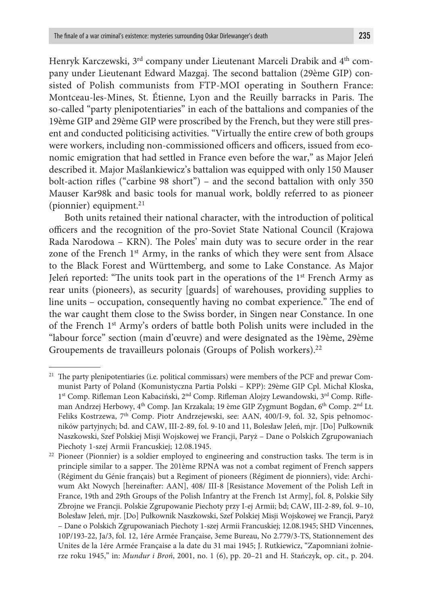Henryk Karczewski, 3<sup>rd</sup> company under Lieutenant Marceli Drabik and 4<sup>th</sup> company under Lieutenant Edward Mazgaj. The second battalion (29ème GIP) consisted of Polish communists from FTP-MOI operating in Southern France: Montceau-les-Mines, St. Étienne, Lyon and the Reuilly barracks in Paris. The so-called "party plenipotentiaries" in each of the battalions and companies of the 19ème GIP and 29ème GIP were proscribed by the French, but they were still present and conducted politicising activities. "Virtually the entire crew of both groups were workers, including non-commissioned officers and officers, issued from economic emigration that had settled in France even before the war," as Major Jeleń described it. Major Maślankiewicz's battalion was equipped with only 150 Mauser bolt-action rifles ("carbine 98 short") – and the second battalion with only 350 Mauser Kar98k and basic tools for manual work, boldly referred to as pioneer (pionnier) equipment. $21$ 

Both units retained their national character, with the introduction of political officers and the recognition of the pro-Soviet State National Council (Krajowa Rada Narodowa – KRN). The Poles' main duty was to secure order in the rear zone of the French  $1<sup>st</sup>$  Army, in the ranks of which they were sent from Alsace to the Black Forest and Württemberg, and some to Lake Constance. As Major Jeleń reported: "The units took part in the operations of the  $1<sup>st</sup>$  French Army as rear units (pioneers), as security [guards] of warehouses, providing supplies to line units – occupation, consequently having no combat experience." The end of the war caught them close to the Swiss border, in Singen near Constance. In one of the French 1st Army's orders of battle both Polish units were included in the "labour force" section (main d'œuvre) and were designated as the 19ème, 29ème Groupements de travailleurs polonais (Groups of Polish workers).<sup>22</sup>

<sup>&</sup>lt;sup>21</sup> The party plenipotentiaries (i.e. political commissars) were members of the PCF and prewar Communist Party of Poland (Komunistyczna Partia Polski – KPP): 29ème GIP Cpl. Michał Kloska, 1<sup>st</sup> Comp. Rifleman Leon Kabaciński, 2<sup>nd</sup> Comp. Rifleman Alojzy Lewandowski, 3<sup>rd</sup> Comp. Rifleman Andrzej Herbowy, 4<sup>th</sup> Comp. Jan Krzakala; 19 ème GIP Zygmunt Bogdan, 6<sup>th</sup> Comp. 2<sup>nd</sup> Lt. Feliks Kostrzewa, 7th Comp. Piotr Andrzejewski, see: AAN, 400/I-9, fol. 32, Spis pełnomocników partyjnych; bd. and CAW, III-2-89, fol. 9-10 and 11, Bolesław Jeleń, mjr. [Do] Pułkownik Naszkowski, Szef Polskiej Misji Wojskowej we Francji, Paryż – Dane o Polskich Zgrupowaniach Piechoty 1-szej Armii Francuskiej; 12.08.1945. 22 Pioneer (Pionnier) is a soldier employed to engineering and construction tasks. The term is in

principle similar to a sapper. The 201ème RPNA was not a combat regiment of French sappers (Régiment du Génie français) but a Regiment of pioneers (Régiment de pionniers), vide: Archiwum Akt Nowych [hereinafter: AAN], 408/ III-8 [Resistance Movement of the Polish Left in France, 19th and 29th Groups of the Polish Infantry at the French 1st Army], fol. 8, Polskie Siły Zbrojne we Francji. Polskie Zgrupowanie Piechoty przy I-ej Armii; bd; CAW, III-2-89, fol. 9–10, Bolesław Jeleń, mjr. [Do] Pułkownik Naszkowski, Szef Polskiej Misji Wojskowej we Francji, Paryż – Dane o Polskich Zgrupowaniach Piechoty 1-szej Armii Francuskiej; 12.08.1945; SHD Vincennes, 10P/193-22, Ja/3, fol. 12, 1ére Armée Française, 3eme Bureau, No 2.779/3-TS, Stationnement des Unites de la 1ére Armée Française a la date du 31 mai 1945; J. Rutkiewicz, "Zapomniani żołnierze roku 1945," in: *Mundur i Broń*, 2001, no. 1 (6), pp. 20–21 and H. Stańczyk, op. cit., p. 204.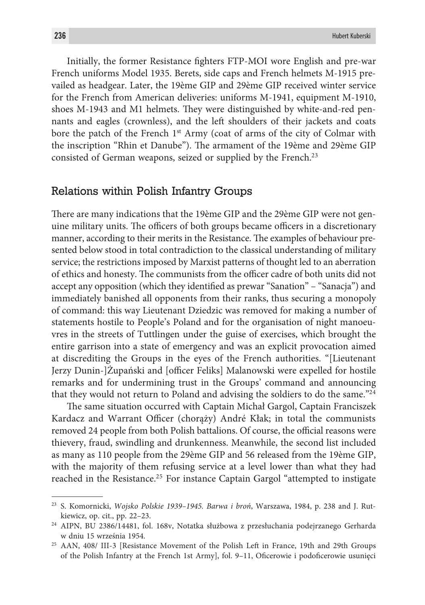Initially, the former Resistance fighters FTP-MOI wore English and pre-war French uniforms Model 1935. Berets, side caps and French helmets M-1915 prevailed as headgear. Later, the 19ème GIP and 29ème GIP received winter service for the French from American deliveries: uniforms M-1941, equipment M-1910, shoes M-1943 and M1 helmets. They were distinguished by white-and-red pennants and eagles (crownless), and the left shoulders of their jackets and coats bore the patch of the French  $1<sup>st</sup>$  Army (coat of arms of the city of Colmar with the inscription "Rhin et Danube"). The armament of the 19ème and 29ème GIP consisted of German weapons, seized or supplied by the French.<sup>23</sup>

# Relations within Polish Infantry Groups

There are many indications that the 19ème GIP and the 29ème GIP were not genuine military units. The officers of both groups became officers in a discretionary manner, according to their merits in the Resistance. The examples of behaviour presented below stood in total contradiction to the classical understanding of military service; the restrictions imposed by Marxist patterns of thought led to an aberration of ethics and honesty. The communists from the officer cadre of both units did not accept any opposition (which they identified as prewar "Sanation" – "Sanacja") and immediately banished all opponents from their ranks, thus securing a monopoly of command: this way Lieutenant Dziedzic was removed for making a number of statements hostile to People's Poland and for the organisation of night manoeuvres in the streets of Tuttlingen under the guise of exercises, which brought the entire garrison into a state of emergency and was an explicit provocation aimed at discrediting the Groups in the eyes of the French authorities. "[Lieutenant Jerzy Dunin-]Żupański and [officer Feliks] Malanowski were expelled for hostile remarks and for undermining trust in the Groups' command and announcing that they would not return to Poland and advising the soldiers to do the same."24

The same situation occurred with Captain Michał Gargol, Captain Franciszek Kardacz and Warrant Officer (chorąży) André Kłak; in total the communists removed 24 people from both Polish battalions. Of course, the official reasons were thievery, fraud, swindling and drunkenness. Meanwhile, the second list included as many as 110 people from the 29ème GIP and 56 released from the 19ème GIP, with the majority of them refusing service at a level lower than what they had reached in the Resistance.25 For instance Captain Gargol "attempted to instigate

<sup>23</sup> S. Komornicki, *Wojsko Polskie 1939–1945. Barwa i broń*, Warszawa, 1984, p. 238 and J. Rutkiewicz, op. cit., pp. 22–23.

<sup>24</sup> AIPN, BU 2386/14481, fol. 168v, Notatka służbowa z przesłuchania podejrzanego Gerharda w dniu 15 września 1954.

<sup>25</sup> AAN, 408/ III-3 [Resistance Movement of the Polish Left in France, 19th and 29th Groups of the Polish Infantry at the French 1st Army], fol. 9–11, Oficerowie i podoficerowie usunięci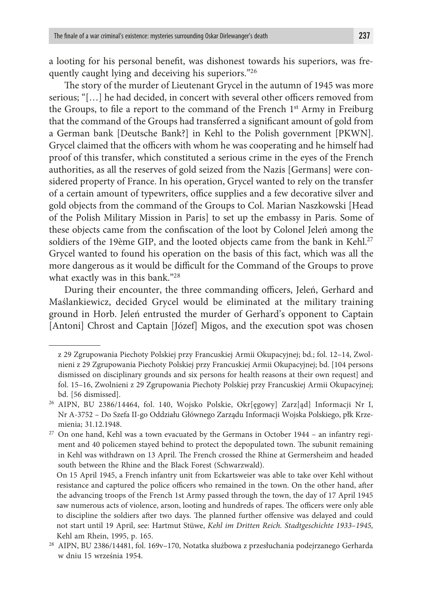a looting for his personal benefit, was dishonest towards his superiors, was frequently caught lying and deceiving his superiors."26

The story of the murder of Lieutenant Grycel in the autumn of 1945 was more serious; "[…] he had decided, in concert with several other officers removed from the Groups, to file a report to the command of the French 1<sup>st</sup> Army in Freiburg that the command of the Groups had transferred a significant amount of gold from a German bank [Deutsche Bank?] in Kehl to the Polish government [PKWN]. Grycel claimed that the officers with whom he was cooperating and he himself had proof of this transfer, which constituted a serious crime in the eyes of the French authorities, as all the reserves of gold seized from the Nazis [Germans] were considered property of France. In his operation, Grycel wanted to rely on the transfer of a certain amount of typewriters, office supplies and a few decorative silver and gold objects from the command of the Groups to Col. Marian Naszkowski [Head of the Polish Military Mission in Paris] to set up the embassy in Paris. Some of these objects came from the confiscation of the loot by Colonel Jeleń among the soldiers of the 19ème GIP, and the looted objects came from the bank in Kehl.<sup>27</sup> Grycel wanted to found his operation on the basis of this fact, which was all the more dangerous as it would be difficult for the Command of the Groups to prove what exactly was in this bank."28

During their encounter, the three commanding officers, Jeleń, Gerhard and Maślankiewicz, decided Grycel would be eliminated at the military training ground in Horb. Jeleń entrusted the murder of Gerhard's opponent to Captain [Antoni] Chrost and Captain [Józef] Migos, and the execution spot was chosen

z 29 Zgrupowania Piechoty Polskiej przy Francuskiej Armii Okupacyjnej; bd.; fol. 12–14, Zwolnieni z 29 Zgrupowania Piechoty Polskiej przy Francuskiej Armii Okupacyjnej; bd. [104 persons dismissed on disciplinary grounds and six persons for health reasons at their own request] and fol. 15–16, Zwolnieni z 29 Zgrupowania Piechoty Polskiej przy Francuskiej Armii Okupacyjnej; bd. [56 dismissed].

<sup>26</sup> AIPN, BU 2386/14464, fol. 140, Wojsko Polskie, Okr[ęgowy] Zarz[ąd] Informacji Nr I, Nr A-3752 – Do Szefa II-go Oddziału Głównego Zarządu Informacji Wojska Polskiego, płk Krzemienia; 31.12.1948.

<sup>&</sup>lt;sup>27</sup> On one hand, Kehl was a town evacuated by the Germans in October 1944 – an infantry regiment and 40 policemen stayed behind to protect the depopulated town. The subunit remaining in Kehl was withdrawn on 13 April. The French crossed the Rhine at Germersheim and headed south between the Rhine and the Black Forest (Schwarzwald).

On 15 April 1945, a French infantry unit from Eckartsweier was able to take over Kehl without resistance and captured the police officers who remained in the town. On the other hand, after the advancing troops of the French 1st Army passed through the town, the day of 17 April 1945 saw numerous acts of violence, arson, looting and hundreds of rapes. The officers were only able to discipline the soldiers after two days. The planned further offensive was delayed and could not start until 19 April, see: Hartmut Stüwe, *Kehl im Dritten Reich. Stadtgeschichte 1933–1945,* Kehl am Rhein, 1995, p. 165.

<sup>28</sup> AIPN, BU 2386/14481, fol. 169v–170, Notatka służbowa z przesłuchania podejrzanego Gerharda w dniu 15 września 1954.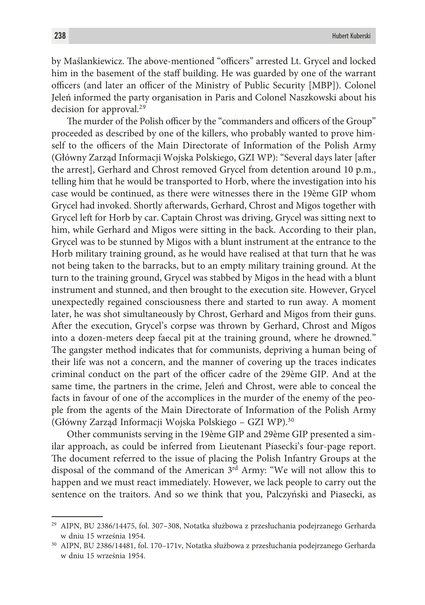by Maślankiewicz. The above-mentioned "officers" arrested Lt. Grycel and locked him in the basement of the staff building. He was guarded by one of the warrant officers (and later an officer of the Ministry of Public Security [MBP]). Colonel Jeleń informed the party organisation in Paris and Colonel Naszkowski about his decision for approval.29

The murder of the Polish officer by the "commanders and officers of the Group" proceeded as described by one of the killers, who probably wanted to prove himself to the officers of the Main Directorate of Information of the Polish Army (Główny Zarząd Informacji Wojska Polskiego, GZI WP): "Several days later [after the arrest], Gerhard and Chrost removed Grycel from detention around 10 p.m., telling him that he would be transported to Horb, where the investigation into his case would be continued, as there were witnesses there in the 19ème GIP whom Grycel had invoked. Shortly afterwards, Gerhard, Chrost and Migos together with Grycel left for Horb by car. Captain Chrost was driving, Grycel was sitting next to him, while Gerhard and Migos were sitting in the back. According to their plan, Grycel was to be stunned by Migos with a blunt instrument at the entrance to the Horb military training ground, as he would have realised at that turn that he was not being taken to the barracks, but to an empty military training ground. At the turn to the training ground, Grycel was stabbed by Migos in the head with a blunt instrument and stunned, and then brought to the execution site. However, Grycel unexpectedly regained consciousness there and started to run away. A moment later, he was shot simultaneously by Chrost, Gerhard and Migos from their guns. After the execution, Grycel's corpse was thrown by Gerhard, Chrost and Migos into a dozen-meters deep faecal pit at the training ground, where he drowned." The gangster method indicates that for communists, depriving a human being of their life was not a concern, and the manner of covering up the traces indicates criminal conduct on the part of the officer cadre of the 29ème GIP. And at the same time, the partners in the crime, Jeleń and Chrost, were able to conceal the facts in favour of one of the accomplices in the murder of the enemy of the people from the agents of the Main Directorate of Information of the Polish Army (Główny Zarząd Informacji Wojska Polskiego – GZI WP).30

Other communists serving in the 19ème GIP and 29ème GIP presented a similar approach, as could be inferred from Lieutenant Piasecki's four-page report. The document referred to the issue of placing the Polish Infantry Groups at the disposal of the command of the American  $3<sup>rd</sup>$  Army: "We will not allow this to happen and we must react immediately. However, we lack people to carry out the sentence on the traitors. And so we think that you, Palczyński and Piasecki, as

<sup>29</sup> AIPN, BU 2386/14475, fol. 307–308, Notatka służbowa z przesłuchania podejrzanego Gerharda w dniu 15 września 1954.

<sup>30</sup> AIPN, BU 2386/14481, fol. 170–171v, Notatka służbowa z przesłuchania podejrzanego Gerharda w dniu 15 września 1954.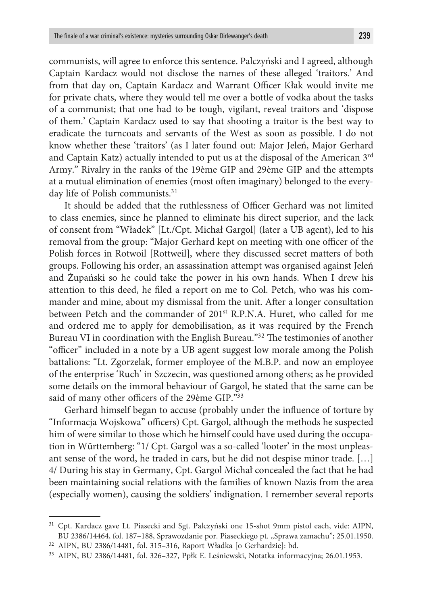communists, will agree to enforce this sentence. Palczyński and I agreed, although Captain Kardacz would not disclose the names of these alleged 'traitors.' And from that day on, Captain Kardacz and Warrant Officer Kłak would invite me for private chats, where they would tell me over a bottle of vodka about the tasks of a communist; that one had to be tough, vigilant, reveal traitors and 'dispose of them.' Captain Kardacz used to say that shooting a traitor is the best way to eradicate the turncoats and servants of the West as soon as possible. I do not know whether these 'traitors' (as I later found out: Major Jeleń, Major Gerhard and Captain Katz) actually intended to put us at the disposal of the American 3<sup>rd</sup> Army." Rivalry in the ranks of the 19ème GIP and 29ème GIP and the attempts at a mutual elimination of enemies (most often imaginary) belonged to the everyday life of Polish communists.<sup>31</sup>

It should be added that the ruthlessness of Officer Gerhard was not limited to class enemies, since he planned to eliminate his direct superior, and the lack of consent from "Władek" [Lt./Cpt. Michał Gargol] (later a UB agent), led to his removal from the group: "Major Gerhard kept on meeting with one officer of the Polish forces in Rotwoil [Rottweil], where they discussed secret matters of both groups. Following his order, an assassination attempt was organised against Jeleń and Żupański so he could take the power in his own hands. When I drew his attention to this deed, he filed a report on me to Col. Petch, who was his commander and mine, about my dismissal from the unit. After a longer consultation between Petch and the commander of 201<sup>st</sup> R.P.N.A. Huret, who called for me and ordered me to apply for demobilisation, as it was required by the French Bureau VI in coordination with the English Bureau."32 The testimonies of another "officer" included in a note by a UB agent suggest low morale among the Polish battalions: "Lt. Zgorzelak, former employee of the M.B.P. and now an employee of the enterprise 'Ruch' in Szczecin, was questioned among others; as he provided some details on the immoral behaviour of Gargol, he stated that the same can be said of many other officers of the 29ème GIP."33

Gerhard himself began to accuse (probably under the influence of torture by "Informacja Wojskowa" officers) Cpt. Gargol, although the methods he suspected him of were similar to those which he himself could have used during the occupation in Württemberg: "1/ Cpt. Gargol was a so-called 'looter' in the most unpleasant sense of the word, he traded in cars, but he did not despise minor trade. […] 4/ During his stay in Germany, Cpt. Gargol Michał concealed the fact that he had been maintaining social relations with the families of known Nazis from the area (especially women), causing the soldiers' indignation. I remember several reports

<sup>31</sup> Cpt. Kardacz gave Lt. Piasecki and Sgt. Palczyński one 15-shot 9mm pistol each, vide: AIPN, BU 2386/14464, fol. 187-188, Sprawozdanie por. Piaseckiego pt. "Sprawa zamachu"; 25.01.1950.

<sup>32</sup> AIPN, BU 2386/14481, fol. 315–316, Raport Władka [o Gerhardzie]: bd.

<sup>33</sup> AIPN, BU 2386/14481, fol. 326–327, Ppłk E. Leśniewski, Notatka informacyjna; 26.01.1953.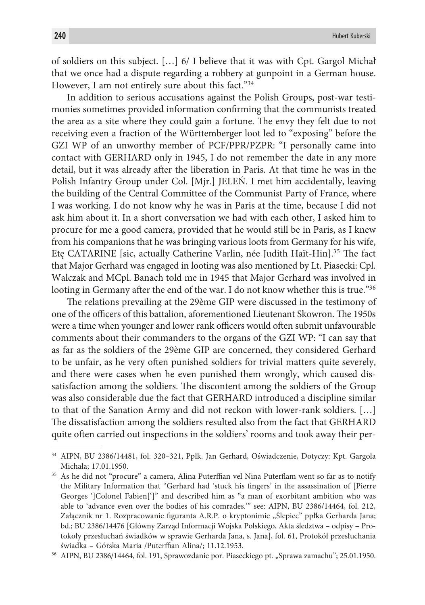of soldiers on this subject. […] 6/ I believe that it was with Cpt. Gargol Michał that we once had a dispute regarding a robbery at gunpoint in a German house. However, I am not entirely sure about this fact."<sup>34</sup>

In addition to serious accusations against the Polish Groups, post-war testimonies sometimes provided information confirming that the communists treated the area as a site where they could gain a fortune. The envy they felt due to not receiving even a fraction of the Württemberger loot led to "exposing" before the GZI WP of an unworthy member of PCF/PPR/PZPR: "I personally came into contact with GERHARD only in 1945, I do not remember the date in any more detail, but it was already after the liberation in Paris. At that time he was in the Polish Infantry Group under Col. [Mjr.] JELEŃ. I met him accidentally, leaving the building of the Central Committee of the Communist Party of France, where I was working. I do not know why he was in Paris at the time, because I did not ask him about it. In a short conversation we had with each other, I asked him to procure for me a good camera, provided that he would still be in Paris, as I knew from his companions that he was bringing various loots from Germany for his wife, Etę CATARINE [sic, actually Catherine Varlin, née Judith Haït-Hin].<sup>35</sup> The fact that Major Gerhard was engaged in looting was also mentioned by Lt. Piasecki: Cpl. Walczak and MCpl. Banach told me in 1945 that Major Gerhard was involved in looting in Germany after the end of the war. I do not know whether this is true."<sup>36</sup>

The relations prevailing at the 29ème GIP were discussed in the testimony of one of the officers of this battalion, aforementioned Lieutenant Skowron. The 1950s were a time when younger and lower rank officers would often submit unfavourable comments about their commanders to the organs of the GZI WP: "I can say that as far as the soldiers of the 29ème GIP are concerned, they considered Gerhard to be unfair, as he very often punished soldiers for trivial matters quite severely, and there were cases when he even punished them wrongly, which caused dissatisfaction among the soldiers. The discontent among the soldiers of the Group was also considerable due the fact that GERHARD introduced a discipline similar to that of the Sanation Army and did not reckon with lower-rank soldiers. […] The dissatisfaction among the soldiers resulted also from the fact that GERHARD quite often carried out inspections in the soldiers' rooms and took away their per-

<sup>34</sup> AIPN, BU 2386/14481, fol. 320–321, Ppłk. Jan Gerhard, Oświadczenie, Dotyczy: Kpt. Gargola Michała; 17.01.1950.

<sup>&</sup>lt;sup>35</sup> As he did not "procure" a camera, Alina Puterffian vel Nina Puterflam went so far as to notify the Military Information that "Gerhard had 'stuck his fingers' in the assassination of [Pierre Georges ']Colonel Fabien[']" and described him as "a man of exorbitant ambition who was able to 'advance even over the bodies of his comrades.'" see: AIPN, BU 2386/14464, fol. 212, Załącznik nr 1. Rozpracowanie figuranta A.R.P. o kryptonimie "Ślepiec" ppłka Gerharda Jana; bd.; BU 2386/14476 [Główny Zarząd Informacji Wojska Polskiego, Akta śledztwa – odpisy – Protokoły przesłuchań świadków w sprawie Gerharda Jana, s. Jana], fol. 61, Protokół przesłuchania świadka – Górska Maria /Puterffian Alina/; 11.12.1953. 36 AIPN, BU 2386/14464, fol. 191, Sprawozdanie por. Piaseckiego pt. "Sprawa zamachu"; 25.01.1950.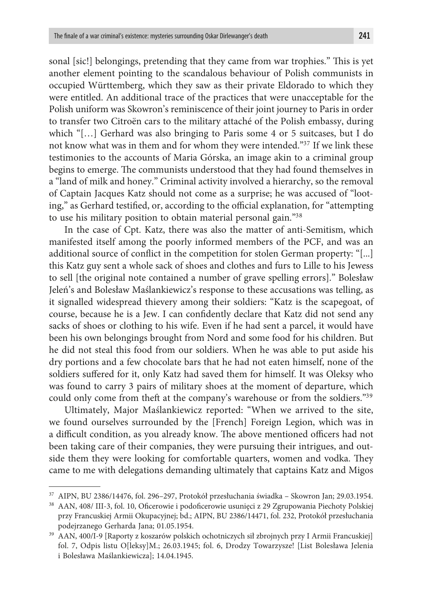sonal [sic!] belongings, pretending that they came from war trophies." This is yet another element pointing to the scandalous behaviour of Polish communists in occupied Württemberg, which they saw as their private Eldorado to which they were entitled. An additional trace of the practices that were unacceptable for the Polish uniform was Skowron's reminiscence of their joint journey to Paris in order to transfer two Citroën cars to the military attaché of the Polish embassy, during which "[…] Gerhard was also bringing to Paris some 4 or 5 suitcases, but I do not know what was in them and for whom they were intended."37 If we link these testimonies to the accounts of Maria Górska, an image akin to a criminal group begins to emerge. The communists understood that they had found themselves in a "land of milk and honey." Criminal activity involved a hierarchy, so the removal of Captain Jacques Katz should not come as a surprise; he was accused of "looting," as Gerhard testified, or, according to the official explanation, for "attempting to use his military position to obtain material personal gain."38

In the case of Cpt. Katz, there was also the matter of anti-Semitism, which manifested itself among the poorly informed members of the PCF, and was an additional source of conflict in the competition for stolen German property: "[...] this Katz guy sent a whole sack of shoes and clothes and furs to Lille to his Jewess to sell [the original note contained a number of grave spelling errors]." Bolesław Jeleń's and Bolesław Maślankiewicz's response to these accusations was telling, as it signalled widespread thievery among their soldiers: "Katz is the scapegoat, of course, because he is a Jew. I can confidently declare that Katz did not send any sacks of shoes or clothing to his wife. Even if he had sent a parcel, it would have been his own belongings brought from Nord and some food for his children. But he did not steal this food from our soldiers. When he was able to put aside his dry portions and a few chocolate bars that he had not eaten himself, none of the soldiers suffered for it, only Katz had saved them for himself. It was Oleksy who was found to carry 3 pairs of military shoes at the moment of departure, which could only come from theft at the company's warehouse or from the soldiers."39

Ultimately, Major Maślankiewicz reported: "When we arrived to the site, we found ourselves surrounded by the [French] Foreign Legion, which was in a difficult condition, as you already know. The above mentioned officers had not been taking care of their companies, they were pursuing their intrigues, and outside them they were looking for comfortable quarters, women and vodka. They came to me with delegations demanding ultimately that captains Katz and Migos

<sup>37</sup> AIPN, BU 2386/14476, fol. 296–297, Protokół przesłuchania świadka – Skowron Jan; 29.03.1954. 38 AAN, 408/ III-3, fol. 10, Oficerowie i podoficerowie usunięci z 29 Zgrupowania Piechoty Polskiej

przy Francuskiej Armii Okupacyjnej; bd.; AIPN, BU 2386/14471, fol. 232, Protokół przesłuchania podejrzanego Gerharda Jana; 01.05.1954.

<sup>39</sup> AAN, 400/I-9 [Raporty z koszarów polskich ochotniczych sił zbrojnych przy I Armii Francuskiej] fol. 7, Odpis listu O[leksy]M.; 26.03.1945; fol. 6, Drodzy Towarzysze! [List Bolesława Jelenia i Bolesława Maślankiewicza]; 14.04.1945.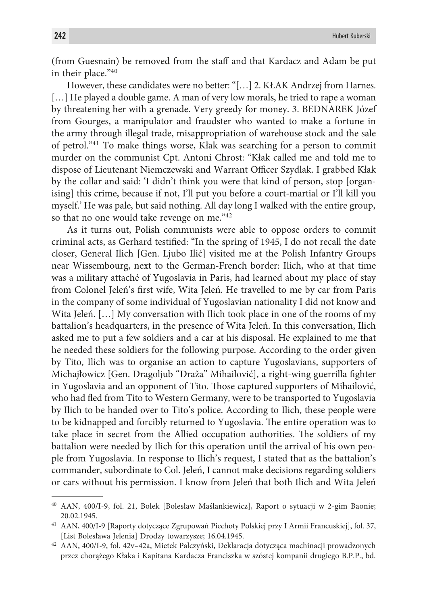(from Guesnain) be removed from the staff and that Kardacz and Adam be put in their place."40

However, these candidates were no better: "[…] 2. KŁAK Andrzej from Harnes. [...] He played a double game. A man of very low morals, he tried to rape a woman by threatening her with a grenade. Very greedy for money. 3. BEDNAREK Józef from Gourges, a manipulator and fraudster who wanted to make a fortune in the army through illegal trade, misappropriation of warehouse stock and the sale of petrol."41 To make things worse, Kłak was searching for a person to commit murder on the communist Cpt. Antoni Chrost: "Kłak called me and told me to dispose of Lieutenant Niemczewski and Warrant Officer Szydlak. I grabbed Kłak by the collar and said: 'I didn't think you were that kind of person, stop [organising] this crime, because if not, I'll put you before a court-martial or I'll kill you myself.' He was pale, but said nothing. All day long I walked with the entire group, so that no one would take revenge on me."<sup>42</sup>

As it turns out, Polish communists were able to oppose orders to commit criminal acts, as Gerhard testified: "In the spring of 1945, I do not recall the date closer, General Ilich [Gen. Ljubo Ilić] visited me at the Polish Infantry Groups near Wissembourg, next to the German-French border: Ilich, who at that time was a military attaché of Yugoslavia in Paris, had learned about my place of stay from Colonel Jeleń's first wife, Wita Jeleń. He travelled to me by car from Paris in the company of some individual of Yugoslavian nationality I did not know and Wita Jeleń. [...] My conversation with Ilich took place in one of the rooms of my battalion's headquarters, in the presence of Wita Jeleń. In this conversation, Ilich asked me to put a few soldiers and a car at his disposal. He explained to me that he needed these soldiers for the following purpose. According to the order given by Tito, Ilich was to organise an action to capture Yugoslavians, supporters of Michajłowicz [Gen. Dragoljub "Draža" Mihailović], a right-wing guerrilla fighter in Yugoslavia and an opponent of Tito. Those captured supporters of Mihailović, who had fled from Tito to Western Germany, were to be transported to Yugoslavia by Ilich to be handed over to Tito's police. According to Ilich, these people were to be kidnapped and forcibly returned to Yugoslavia. The entire operation was to take place in secret from the Allied occupation authorities. The soldiers of my battalion were needed by Ilich for this operation until the arrival of his own people from Yugoslavia. In response to Ilich's request, I stated that as the battalion's commander, subordinate to Col. Jeleń, I cannot make decisions regarding soldiers or cars without his permission. I know from Jeleń that both Ilich and Wita Jeleń

<sup>40</sup> AAN, 400/I-9, fol. 21, Bolek [Bolesław Maślankiewicz], Raport o sytuacji w 2-gim Baonie; 20.02.1945.

<sup>41</sup> AAN, 400/I-9 [Raporty dotyczące Zgrupowań Piechoty Polskiej przy I Armii Francuskiej], fol. 37, [List Bolesława Jelenia] Drodzy towarzysze; 16.04.1945.

<sup>42</sup> AAN, 400/I-9, fol. 42v–42a, Mietek Palczyński, Deklaracja dotycząca machinacji prowadzonych przez chorążego Kłaka i Kapitana Kardacza Franciszka w szóstej kompanii drugiego B.P.P., bd.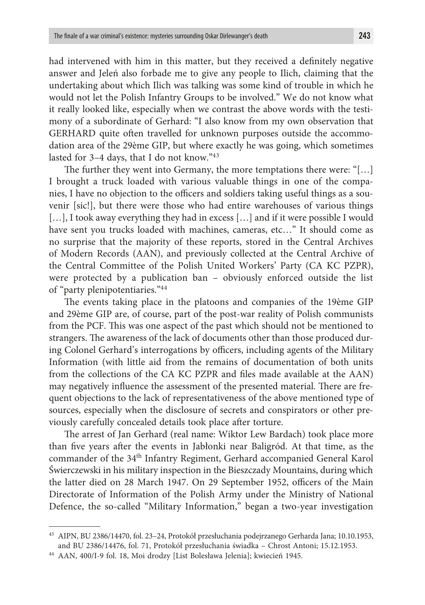had intervened with him in this matter, but they received a definitely negative answer and Jeleń also forbade me to give any people to Ilich, claiming that the undertaking about which Ilich was talking was some kind of trouble in which he would not let the Polish Infantry Groups to be involved." We do not know what it really looked like, especially when we contrast the above words with the testimony of a subordinate of Gerhard: "I also know from my own observation that GERHARD quite often travelled for unknown purposes outside the accommodation area of the 29ème GIP, but where exactly he was going, which sometimes lasted for 3–4 days, that I do not know."43

The further they went into Germany, the more temptations there were: "[…] I brought a truck loaded with various valuable things in one of the companies, I have no objection to the officers and soldiers taking useful things as a souvenir [sic!], but there were those who had entire warehouses of various things [...], I took away everything they had in excess [...] and if it were possible I would have sent you trucks loaded with machines, cameras, etc…" It should come as no surprise that the majority of these reports, stored in the Central Archives of Modern Records (AAN), and previously collected at the Central Archive of the Central Committee of the Polish United Workers' Party (CA KC PZPR), were protected by a publication ban – obviously enforced outside the list of "party plenipotentiaries."44

The events taking place in the platoons and companies of the 19ème GIP and 29ème GIP are, of course, part of the post-war reality of Polish communists from the PCF. This was one aspect of the past which should not be mentioned to strangers. The awareness of the lack of documents other than those produced during Colonel Gerhard's interrogations by officers, including agents of the Military Information (with little aid from the remains of documentation of both units from the collections of the CA KC PZPR and files made available at the AAN) may negatively influence the assessment of the presented material. There are frequent objections to the lack of representativeness of the above mentioned type of sources, especially when the disclosure of secrets and conspirators or other previously carefully concealed details took place after torture.

The arrest of Jan Gerhard (real name: Wiktor Lew Bardach) took place more than five years after the events in Jabłonki near Baligród. At that time, as the commander of the 34<sup>th</sup> Infantry Regiment, Gerhard accompanied General Karol Świerczewski in his military inspection in the Bieszczady Mountains, during which the latter died on 28 March 1947. On 29 September 1952, officers of the Main Directorate of Information of the Polish Army under the Ministry of National Defence, the so-called "Military Information," began a two-year investigation

<sup>43</sup> AIPN, BU 2386/14470, fol. 23–24, Protokół przesłuchania podejrzanego Gerharda Jana; 10.10.1953, and BU 2386/14476, fol. 71, Protokół przesłuchania świadka – Chrost Antoni; 15.12.1953.

<sup>44</sup> AAN, 400/I-9 fol. 18, Moi drodzy [List Bolesława Jelenia]; kwiecień 1945.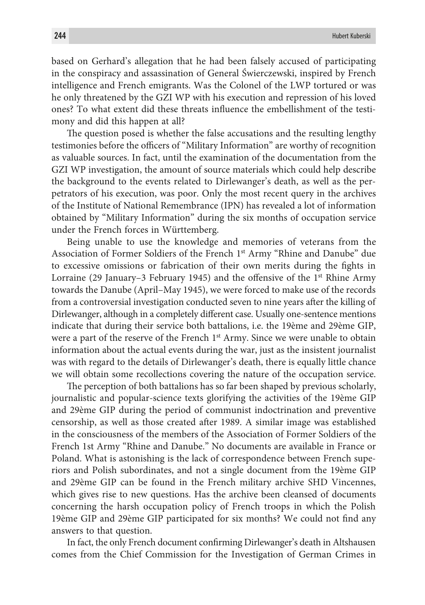based on Gerhard's allegation that he had been falsely accused of participating in the conspiracy and assassination of General Świerczewski, inspired by French intelligence and French emigrants. Was the Colonel of the LWP tortured or was he only threatened by the GZI WP with his execution and repression of his loved ones? To what extent did these threats influence the embellishment of the testimony and did this happen at all?

The question posed is whether the false accusations and the resulting lengthy testimonies before the officers of "Military Information" are worthy of recognition as valuable sources. In fact, until the examination of the documentation from the GZI WP investigation, the amount of source materials which could help describe the background to the events related to Dirlewanger's death, as well as the perpetrators of his execution, was poor. Only the most recent query in the archives of the Institute of National Remembrance (IPN) has revealed a lot of information obtained by "Military Information" during the six months of occupation service under the French forces in Württemberg.

Being unable to use the knowledge and memories of veterans from the Association of Former Soldiers of the French 1<sup>st</sup> Army "Rhine and Danube" due to excessive omissions or fabrication of their own merits during the fights in Lorraine (29 January–3 February 1945) and the offensive of the  $1<sup>st</sup>$  Rhine Army towards the Danube (April–May 1945), we were forced to make use of the records from a controversial investigation conducted seven to nine years after the killing of Dirlewanger, although in a completely different case. Usually one-sentence mentions indicate that during their service both battalions, i.e. the 19ème and 29ème GIP, were a part of the reserve of the French 1<sup>st</sup> Army. Since we were unable to obtain information about the actual events during the war, just as the insistent journalist was with regard to the details of Dirlewanger's death, there is equally little chance we will obtain some recollections covering the nature of the occupation service.

The perception of both battalions has so far been shaped by previous scholarly, journalistic and popular-science texts glorifying the activities of the 19ème GIP and 29ème GIP during the period of communist indoctrination and preventive censorship, as well as those created after 1989. A similar image was established in the consciousness of the members of the Association of Former Soldiers of the French 1st Army "Rhine and Danube." No documents are available in France or Poland. What is astonishing is the lack of correspondence between French superiors and Polish subordinates, and not a single document from the 19ème GIP and 29ème GIP can be found in the French military archive SHD Vincennes, which gives rise to new questions. Has the archive been cleansed of documents concerning the harsh occupation policy of French troops in which the Polish 19ème GIP and 29ème GIP participated for six months? We could not find any answers to that question.

In fact, the only French document confirming Dirlewanger's death in Altshausen comes from the Chief Commission for the Investigation of German Crimes in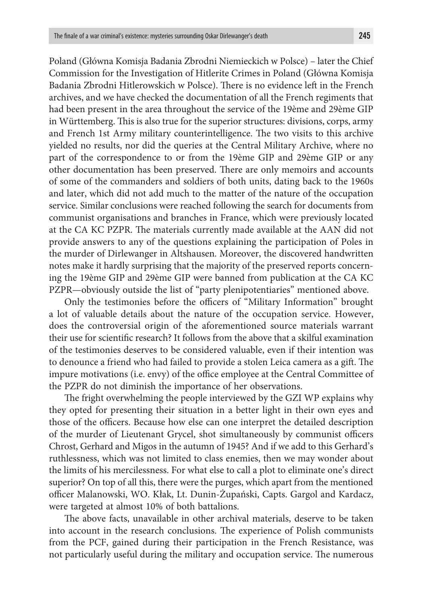Poland (Główna Komisja Badania Zbrodni Niemieckich w Polsce) – later the Chief Commission for the Investigation of Hitlerite Crimes in Poland (Główna Komisja Badania Zbrodni Hitlerowskich w Polsce). There is no evidence left in the French archives, and we have checked the documentation of all the French regiments that had been present in the area throughout the service of the 19ème and 29ème GIP in Württemberg. This is also true for the superior structures: divisions, corps, army and French 1st Army military counterintelligence. The two visits to this archive yielded no results, nor did the queries at the Central Military Archive, where no part of the correspondence to or from the 19ème GIP and 29ème GIP or any other documentation has been preserved. There are only memoirs and accounts of some of the commanders and soldiers of both units, dating back to the 1960s and later, which did not add much to the matter of the nature of the occupation service. Similar conclusions were reached following the search for documents from communist organisations and branches in France, which were previously located at the CA KC PZPR. The materials currently made available at the AAN did not provide answers to any of the questions explaining the participation of Poles in the murder of Dirlewanger in Altshausen. Moreover, the discovered handwritten notes make it hardly surprising that the majority of the preserved reports concerning the 19ème GIP and 29ème GIP were banned from publication at the CA KC PZPR—obviously outside the list of "party plenipotentiaries" mentioned above.

Only the testimonies before the officers of "Military Information" brought a lot of valuable details about the nature of the occupation service. However, does the controversial origin of the aforementioned source materials warrant their use for scientific research? It follows from the above that a skilful examination of the testimonies deserves to be considered valuable, even if their intention was to denounce a friend who had failed to provide a stolen Leica camera as a gift. The impure motivations (i.e. envy) of the office employee at the Central Committee of the PZPR do not diminish the importance of her observations.

The fright overwhelming the people interviewed by the GZI WP explains why they opted for presenting their situation in a better light in their own eyes and those of the officers. Because how else can one interpret the detailed description of the murder of Lieutenant Grycel, shot simultaneously by communist officers Chrost, Gerhard and Migos in the autumn of 1945? And if we add to this Gerhard's ruthlessness, which was not limited to class enemies, then we may wonder about the limits of his mercilessness. For what else to call a plot to eliminate one's direct superior? On top of all this, there were the purges, which apart from the mentioned officer Malanowski, WO. Kłak, Lt. Dunin-Żupański, Capts. Gargol and Kardacz, were targeted at almost 10% of both battalions.

The above facts, unavailable in other archival materials, deserve to be taken into account in the research conclusions. The experience of Polish communists from the PCF, gained during their participation in the French Resistance, was not particularly useful during the military and occupation service. The numerous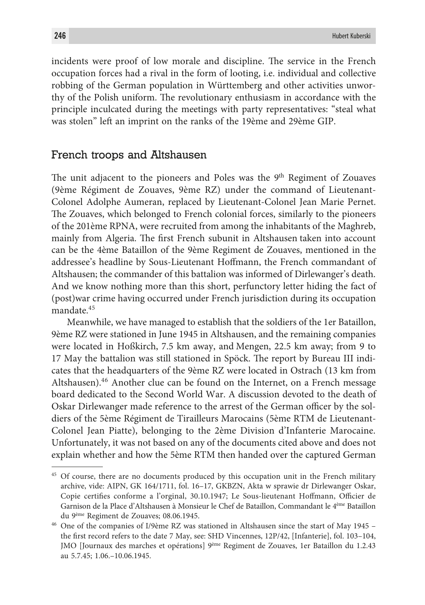incidents were proof of low morale and discipline. The service in the French occupation forces had a rival in the form of looting, i.e. individual and collective robbing of the German population in Württemberg and other activities unworthy of the Polish uniform. The revolutionary enthusiasm in accordance with the principle inculcated during the meetings with party representatives: "steal what was stolen" left an imprint on the ranks of the 19ème and 29ème GIP.

### French troops and Altshausen

The unit adjacent to the pioneers and Poles was the  $9<sup>th</sup>$  Regiment of Zouaves (9ème Régiment de Zouaves, 9ème RZ) under the command of Lieutenant-Colonel Adolphe Aumeran, replaced by Lieutenant-Colonel Jean Marie Pernet. The Zouaves, which belonged to French colonial forces, similarly to the pioneers of the 201ème RPNA, were recruited from among the inhabitants of the Maghreb, mainly from Algeria. The first French subunit in Altshausen taken into account can be the 4ème Bataillon of the 9ème Regiment de Zouaves, mentioned in the addressee's headline by Sous-Lieutenant Hoffmann, the French commandant of Altshausen; the commander of this battalion was informed of Dirlewanger's death. And we know nothing more than this short, perfunctory letter hiding the fact of (post)war crime having occurred under French jurisdiction during its occupation mandate.45

Meanwhile, we have managed to establish that the soldiers of the 1er Bataillon, 9ème RZ were stationed in June 1945 in Altshausen, and the remaining companies were located in Hoßkirch, 7.5 km away, and Mengen, 22.5 km away; from 9 to 17 May the battalion was still stationed in Spöck. The report by Bureau III indicates that the headquarters of the 9ème RZ were located in Ostrach (13 km from Altshausen).<sup>46</sup> Another clue can be found on the Internet, on a French message board dedicated to the Second World War. A discussion devoted to the death of Oskar Dirlewanger made reference to the arrest of the German officer by the soldiers of the 5ème Régiment de Tirailleurs Marocains (5ème RTM de Lieutenant-Colonel Jean Piatte), belonging to the 2ème Division d'Infanterie Marocaine. Unfortunately, it was not based on any of the documents cited above and does not explain whether and how the 5ème RTM then handed over the captured German

<sup>&</sup>lt;sup>45</sup> Of course, there are no documents produced by this occupation unit in the French military archive, vide: AIPN, GK 164/1711, fol. 16–17, GKBZN, Akta w sprawie dr Dirlewanger Oskar, Copie certifies conforme a l'orginal, 30.10.1947; Le Sous-lieutenant Hoffmann, Officier de Garnison de la Place d'Altshausen à Monsieur le Chef de Bataillon, Commandant le 4ème Bataillon du 9ème Regiment de Zouaves; 08.06.1945.

<sup>46</sup> One of the companies of I/9ème RZ was stationed in Altshausen since the start of May 1945 – the first record refers to the date 7 May, see: SHD Vincennes, 12P/42, [Infanterie], fol. 103–104, JMO [Journaux des marches et opérations] 9ème Regiment de Zouaves, 1er Bataillon du 1.2.43 au 5.7.45; 1.06.–10.06.1945.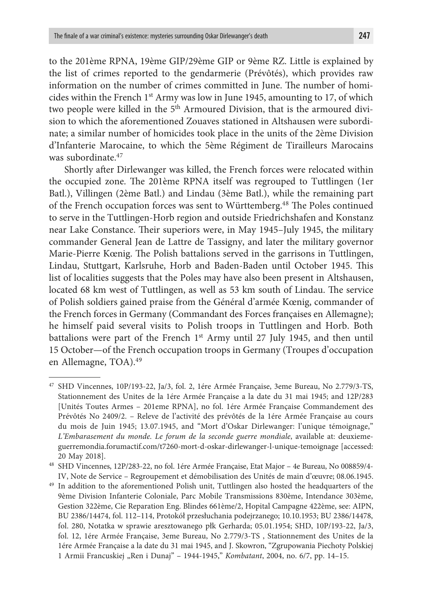to the 201ème RPNA, 19ème GIP/29ème GIP or 9ème RZ. Little is explained by the list of crimes reported to the gendarmerie (Prévôtés), which provides raw information on the number of crimes committed in June. The number of homicides within the French 1<sup>st</sup> Army was low in June 1945, amounting to 17, of which two people were killed in the 5<sup>th</sup> Armoured Division, that is the armoured division to which the aforementioned Zouaves stationed in Altshausen were subordinate; a similar number of homicides took place in the units of the 2ème Division d'Infanterie Marocaine, to which the 5ème Régiment de Tirailleurs Marocains was subordinate.<sup>47</sup>

Shortly after Dirlewanger was killed, the French forces were relocated within the occupied zone. The 201ème RPNA itself was regrouped to Tuttlingen (1er Batl.), Villingen (2ème Batl.) and Lindau (3ème Batl.), while the remaining part of the French occupation forces was sent to Württemberg.48 The Poles continued to serve in the Tuttlingen-Horb region and outside Friedrichshafen and Konstanz near Lake Constance. Their superiors were, in May 1945–July 1945, the military commander General Jean de Lattre de Tassigny, and later the military governor Marie-Pierre Kœnig. The Polish battalions served in the garrisons in Tuttlingen, Lindau, Stuttgart, Karlsruhe, Horb and Baden-Baden until October 1945. This list of localities suggests that the Poles may have also been present in Altshausen, located 68 km west of Tuttlingen, as well as 53 km south of Lindau. The service of Polish soldiers gained praise from the Général d'armée Kœnig, commander of the French forces in Germany (Commandant des Forces françaises en Allemagne); he himself paid several visits to Polish troops in Tuttlingen and Horb. Both battalions were part of the French 1<sup>st</sup> Army until 27 July 1945, and then until 15 October—of the French occupation troops in Germany (Troupes d'occupation en Allemagne, TOA).49

<sup>47</sup> SHD Vincennes, 10P/193-22, Ja/3, fol. 2, 1ére Armée Française, 3eme Bureau, No 2.779/3-TS, Stationnement des Unites de la 1ére Armée Française a la date du 31 mai 1945; and 12P/283 [Unités Toutes Armes – 201eme RPNA], no fol. 1ére Armée Française Commandement des Prévôtés No 2409/2. – Releve de l'activité des prévôtés de la 1ére Armée Française au cours du mois de Juin 1945; 13.07.1945, and "Mort d'Oskar Dirlewanger: l'unique témoignage," *L'Embarasement du monde. Le forum de la seconde guerre mondiale*, available at: deuxiemeguerremondia.forumactif.com/t7260-mort-d-oskar-dirlewanger-l-unique-temoignage [accessed: 20 May 2018].

<sup>48</sup> SHD Vincennes, 12P/283-22, no fol. 1ére Armée Française, Etat Major – 4e Bureau, No 008859/4- IV, Note de Service – Regroupement et démobilisation des Unités de main d'œuvre; 08.06.1945.

<sup>&</sup>lt;sup>49</sup> In addition to the aforementioned Polish unit, Tuttlingen also hosted the headquarters of the 9ème Division Infanterie Coloniale, Parc Mobile Transmissions 830ème, Intendance 303ème, Gestion 322ème, Cie Reparation Eng. Blindes 661ème/2, Hopital Campagne 422ème, see: AIPN, BU 2386/14474, fol. 112–114, Protokół przesłuchania podejrzanego; 10.10.1953; BU 2386/14478, fol. 280, Notatka w sprawie aresztowanego płk Gerharda; 05.01.1954; SHD, 10P/193-22, Ja/3, fol. 12, 1ére Armée Française, 3eme Bureau, No 2.779/3-TS , Stationnement des Unites de la 1ére Armée Française a la date du 31 mai 1945, and J. Skowron, "Zgrupowania Piechoty Polskiej 1 Armii Francuskiej "Ren i Dunaj" – 1944-1945," *Kombatant*, 2004, no. 6/7, pp. 14-15.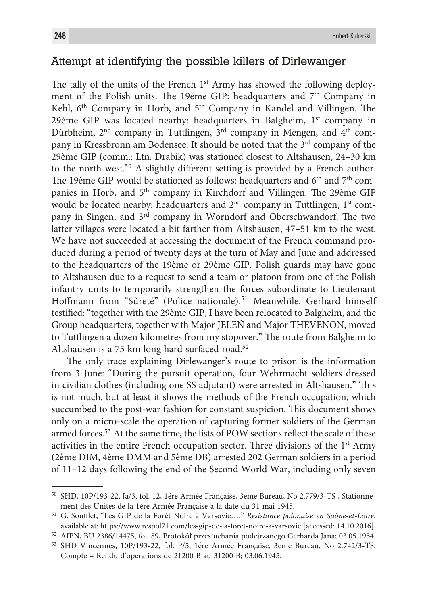# Attempt at identifying the possible killers of Dirlewanger

The tally of the units of the French 1<sup>st</sup> Army has showed the following deployment of the Polish units. The 19ème GIP: headquarters and 7<sup>th</sup> Company in Kehl, 6<sup>th</sup> Company in Horb, and 5<sup>th</sup> Company in Kandel and Villingen. The 29ème GIP was located nearby: headquarters in Balgheim, 1<sup>st</sup> company in Dürbheim,  $2<sup>nd</sup>$  company in Tuttlingen,  $3<sup>rd</sup>$  company in Mengen, and  $4<sup>th</sup>$  company in Kressbronn am Bodensee. It should be noted that the 3<sup>rd</sup> company of the 29ème GIP (comm.: Ltn. Drabik) was stationed closest to Altshausen, 24–30 km to the north-west.<sup>50</sup> A slightly different setting is provided by a French author. The 19ème GIP would be stationed as follows: headquarters and  $6<sup>th</sup>$  and  $7<sup>th</sup>$  companies in Horb, and 5<sup>th</sup> company in Kirchdorf and Villingen. The 29ème GIP would be located nearby: headquarters and  $2<sup>nd</sup>$  company in Tuttlingen,  $1<sup>st</sup>$  company in Singen, and 3rd company in Worndorf and Oberschwandorf. The two latter villages were located a bit farther from Altshausen, 47–51 km to the west. We have not succeeded at accessing the document of the French command produced during a period of twenty days at the turn of May and June and addressed to the headquarters of the 19ème or 29ème GIP. Polish guards may have gone to Altshausen due to a request to send a team or platoon from one of the Polish infantry units to temporarily strengthen the forces subordinate to Lieutenant Hoffmann from "Sûreté" (Police nationale).<sup>51</sup> Meanwhile, Gerhard himself testified: "together with the 29ème GIP, I have been relocated to Balgheim, and the Group headquarters, together with Major JELEŃ and Major THEVENON, moved to Tuttlingen a dozen kilometres from my stopover." The route from Balgheim to Altshausen is a 75 km long hard surfaced road.<sup>52</sup>

The only trace explaining Dirlewanger's route to prison is the information from 3 June: "During the pursuit operation, four Wehrmacht soldiers dressed in civilian clothes (including one SS adjutant) were arrested in Altshausen." This is not much, but at least it shows the methods of the French occupation, which succumbed to the post-war fashion for constant suspicion. This document shows only on a micro-scale the operation of capturing former soldiers of the German armed forces.<sup>53</sup> At the same time, the lists of POW sections reflect the scale of these activities in the entire French occupation sector. Three divisions of the  $1<sup>st</sup>$  Army (2ème DIM, 4ème DMM and 5ème DB) arrested 202 German soldiers in a period of 11–12 days following the end of the Second World War, including only seven

<sup>50</sup> SHD, 10P/193-22, Ja/3, fol. 12, 1ére Armée Française, 3eme Bureau, No 2.779/3-TS , Stationnement des Unites de la 1ére Armée Française a la date du 31 mai 1945.

<sup>51</sup> G. Soufflet, "Les GIP de la Forêt Noire à Varsovie…," *Résistance polonaise en Saône-et-Loire*, available at: https://www.respol71.com/les-gip-de-la-foret-noire-a-varsovie [accessed: 14.10.2016].

<sup>52</sup> AIPN, BU 2386/14475, fol. 89, Protokół przesłuchania podejrzanego Gerharda Jana; 03.05.1954.

<sup>53</sup> SHD Vincennes, 10P/193-22, fol. P/5, 1ére Armée Française, 3eme Bureau, No 2.742/3-TS, Compte – Rendu d'operations de 21200 B au 31200 B; 03.06.1945.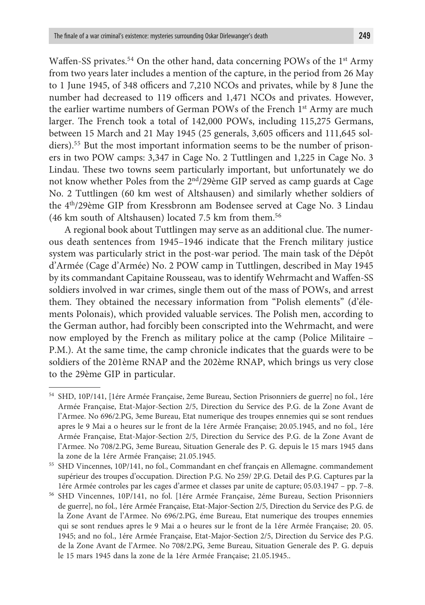Waffen-SS privates.<sup>54</sup> On the other hand, data concerning POWs of the 1<sup>st</sup> Army from two years later includes a mention of the capture, in the period from 26 May to 1 June 1945, of 348 officers and 7,210 NCOs and privates, while by 8 June the number had decreased to 119 officers and 1,471 NCOs and privates. However, the earlier wartime numbers of German POWs of the French 1<sup>st</sup> Army are much larger. The French took a total of 142,000 POWs, including 115,275 Germans, between 15 March and 21 May 1945 (25 generals, 3,605 officers and 111,645 soldiers).55 But the most important information seems to be the number of prisoners in two POW camps: 3,347 in Cage No. 2 Tuttlingen and 1,225 in Cage No. 3 Lindau. These two towns seem particularly important, but unfortunately we do not know whether Poles from the 2<sup>nd</sup>/29ème GIP served as camp guards at Cage No. 2 Tuttlingen (60 km west of Altshausen) and similarly whether soldiers of the 4<sup>th</sup>/29ème GIP from Kressbronn am Bodensee served at Cage No. 3 Lindau (46 km south of Altshausen) located 7.5 km from them.56

A regional book about Tuttlingen may serve as an additional clue. The numerous death sentences from 1945–1946 indicate that the French military justice system was particularly strict in the post-war period. The main task of the Dépôt d'Armée (Cage d'Armée) No. 2 POW camp in Tuttlingen, described in May 1945 by its commandant Capitaine Rousseau, was to identify Wehrmacht and Waffen-SS soldiers involved in war crimes, single them out of the mass of POWs, and arrest them. They obtained the necessary information from "Polish elements" (d'élements Polonais), which provided valuable services. The Polish men, according to the German author, had forcibly been conscripted into the Wehrmacht, and were now employed by the French as military police at the camp (Police Militaire – P.M.). At the same time, the camp chronicle indicates that the guards were to be soldiers of the 201ème RNAP and the 202ème RNAP, which brings us very close to the 29ème GIP in particular.

<sup>54</sup> SHD, 10P/141, [1ére Armée Française, 2eme Bureau, Section Prisonniers de guerre] no fol., 1ére Armée Française, Etat-Major-Section 2/5, Direction du Service des P.G. de la Zone Avant de l'Armee. No 696/2.PG, 3eme Bureau, Etat numerique des troupes ennemies qui se sont rendues apres le 9 Mai a o heures sur le front de la 1ére Armée Française; 20.05.1945, and no fol., 1ére Armée Française, Etat-Major-Section 2/5, Direction du Service des P.G. de la Zone Avant de l'Armee. No 708/2.PG, 3eme Bureau, Situation Generale des P. G. depuis le 15 mars 1945 dans la zone de la 1ére Armée Française; 21.05.1945.

<sup>55</sup> SHD Vincennes, 10P/141, no fol., Commandant en chef français en Allemagne. commandement supérieur des troupes d'occupation. Direction P.G. No 259/ 2P.G. Detail des P.G. Captures par la 1ére Armée controles par les cages d'armee et classes par unite de capture; 05.03.1947 – pp. 7–8.

<sup>56</sup> SHD Vincennes, 10P/141, no fol. [1ére Armée Française, 2éme Bureau, Section Prisonniers de guerre], no fol., 1ére Armée Française, Etat-Major-Section 2/5, Direction du Service des P.G. de la Zone Avant de l'Armee. No 696/2.PG, éme Bureau, Etat numerique des troupes ennemies qui se sont rendues apres le 9 Mai a o heures sur le front de la 1ére Armée Française; 20. 05. 1945; and no fol., 1ére Armée Française, Etat-Major-Section 2/5, Direction du Service des P.G. de la Zone Avant de l'Armee. No 708/2.PG, 3eme Bureau, Situation Generale des P. G. depuis le 15 mars 1945 dans la zone de la 1ére Armée Française; 21.05.1945..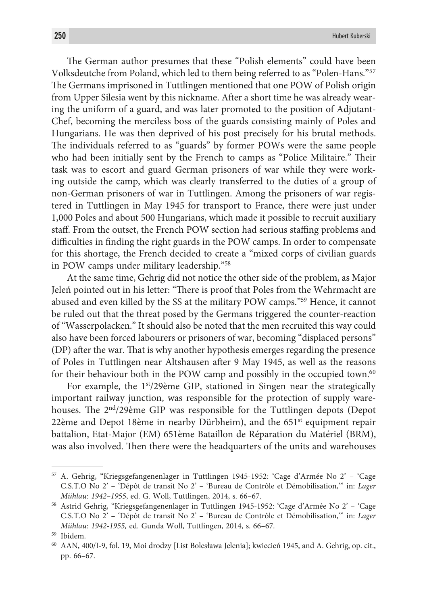The German author presumes that these "Polish elements" could have been Volksdeutche from Poland, which led to them being referred to as "Polen-Hans."57 The Germans imprisoned in Tuttlingen mentioned that one POW of Polish origin from Upper Silesia went by this nickname. After a short time he was already wearing the uniform of a guard, and was later promoted to the position of Adjutant-Chef, becoming the merciless boss of the guards consisting mainly of Poles and Hungarians. He was then deprived of his post precisely for his brutal methods. The individuals referred to as "guards" by former POWs were the same people who had been initially sent by the French to camps as "Police Militaire." Their task was to escort and guard German prisoners of war while they were working outside the camp, which was clearly transferred to the duties of a group of non-German prisoners of war in Tuttlingen. Among the prisoners of war registered in Tuttlingen in May 1945 for transport to France, there were just under 1,000 Poles and about 500 Hungarians, which made it possible to recruit auxiliary staff. From the outset, the French POW section had serious staffing problems and difficulties in finding the right guards in the POW camps. In order to compensate for this shortage, the French decided to create a "mixed corps of civilian guards in POW camps under military leadership."58

At the same time, Gehrig did not notice the other side of the problem, as Major Jeleń pointed out in his letter: "There is proof that Poles from the Wehrmacht are abused and even killed by the SS at the military POW camps."59 Hence, it cannot be ruled out that the threat posed by the Germans triggered the counter-reaction of "Wasserpolacken." It should also be noted that the men recruited this way could also have been forced labourers or prisoners of war, becoming "displaced persons" (DP) after the war. That is why another hypothesis emerges regarding the presence of Poles in Tuttlingen near Altshausen after 9 May 1945, as well as the reasons for their behaviour both in the POW camp and possibly in the occupied town.<sup>60</sup>

For example, the 1<sup>st</sup>/29ème GIP, stationed in Singen near the strategically important railway junction, was responsible for the protection of supply warehouses. The  $2<sup>nd</sup>/29$ ème GIP was responsible for the Tuttlingen depots (Depot 22ème and Depot 18ème in nearby Dürbheim), and the  $651<sup>st</sup>$  equipment repair battalion, Etat-Major (EM) 651ème Bataillon de Réparation du Matériel (BRM), was also involved. Then there were the headquarters of the units and warehouses

<sup>57</sup> A. Gehrig, "Kriegsgefangenenlager in Tuttlingen 1945-1952: 'Cage d'Armée No 2' – 'Cage C.S.T.O No 2' – 'Dépôt de transit No 2' – 'Bureau de Contrôle et Démobilisation,'" in: *Lager Mühlau: 1942–1955*, ed. G. Woll, Tuttlingen, 2014, s. 66–67.

<sup>58</sup> Astrid Gehrig, "Kriegsgefangenenlager in Tuttlingen 1945-1952: 'Cage d'Armée No 2' – 'Cage C.S.T.O No 2' – 'Dépôt de transit No 2' – 'Bureau de Contrôle et Démobilisation,'" in: *Lager Mühlau: 1942-1955,* ed. Gunda Woll, Tuttlingen, 2014, s. 66–67.

<sup>59</sup> Ibidem.

<sup>60</sup> AAN, 400/I-9, fol. 19, Moi drodzy [List Bolesława Jelenia]; kwiecień 1945, and A. Gehrig, op. cit., pp. 66–67.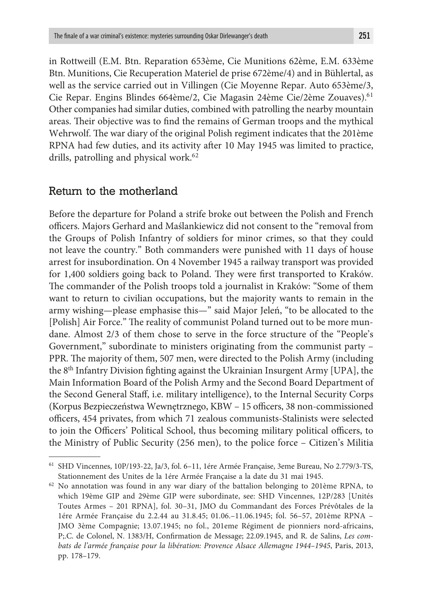in Rottweill (E.M. Btn. Reparation 653ème, Cie Munitions 62ème, E.M. 633ème Btn. Munitions, Cie Recuperation Materiel de prise 672ème/4) and in Bühlertal, as well as the service carried out in Villingen (Cie Moyenne Repar. Auto 653ème/3, Cie Repar. Engins Blindes 664ème/2, Cie Magasin 24ème Cie/2ème Zouaves).61 Other companies had similar duties, combined with patrolling the nearby mountain areas. Their objective was to find the remains of German troops and the mythical Wehrwolf. The war diary of the original Polish regiment indicates that the 201ème RPNA had few duties, and its activity after 10 May 1945 was limited to practice, drills, patrolling and physical work.<sup>62</sup>

### Return to the motherland

Before the departure for Poland a strife broke out between the Polish and French officers. Majors Gerhard and Maślankiewicz did not consent to the "removal from the Groups of Polish Infantry of soldiers for minor crimes, so that they could not leave the country." Both commanders were punished with 11 days of house arrest for insubordination. On 4 November 1945 a railway transport was provided for 1,400 soldiers going back to Poland. They were first transported to Kraków. The commander of the Polish troops told a journalist in Kraków: "Some of them want to return to civilian occupations, but the majority wants to remain in the army wishing—please emphasise this—" said Major Jeleń, "to be allocated to the [Polish] Air Force." The reality of communist Poland turned out to be more mundane. Almost 2/3 of them chose to serve in the force structure of the "People's Government," subordinate to ministers originating from the communist party – PPR. The majority of them, 507 men, were directed to the Polish Army (including the 8th Infantry Division fighting against the Ukrainian Insurgent Army [UPA], the Main Information Board of the Polish Army and the Second Board Department of the Second General Staff, i.e. military intelligence), to the Internal Security Corps (Korpus Bezpieczeństwa Wewnętrznego, KBW – 15 officers, 38 non-commissioned officers, 454 privates, from which 71 zealous communists-Stalinists were selected to join the Officers' Political School, thus becoming military political officers, to the Ministry of Public Security (256 men), to the police force – Citizen's Militia

<sup>61</sup> SHD Vincennes, 10P/193-22, Ja/3, fol. 6–11, 1ére Armée Française, 3eme Bureau, No 2.779/3-TS, Stationnement des Unites de la 1ére Armée Française a la date du 31 mai 1945.

<sup>62</sup> No annotation was found in any war diary of the battalion belonging to 201ème RPNA, to which 19ème GIP and 29ème GIP were subordinate, see: SHD Vincennes, 12P/283 [Unités Toutes Armes – 201 RPNA], fol. 30–31, JMO du Commandant des Forces Prévôtales de la 1ére Armée Française du 2.2.44 au 31.8.45; 01.06.–11.06.1945; fol. 56–57, 201ème RPNA – JMO 3ème Compagnie; 13.07.1945; no fol., 201eme Régiment de pionniers nord-africains, P;.C. de Colonel, N. 1383/H, Confirmation de Message; 22.09.1945, and R. de Salins, *Les combats de l'armée française pour la libération: Provence Alsace Allemagne 1944–1945*, Paris, 2013, pp. 178–179.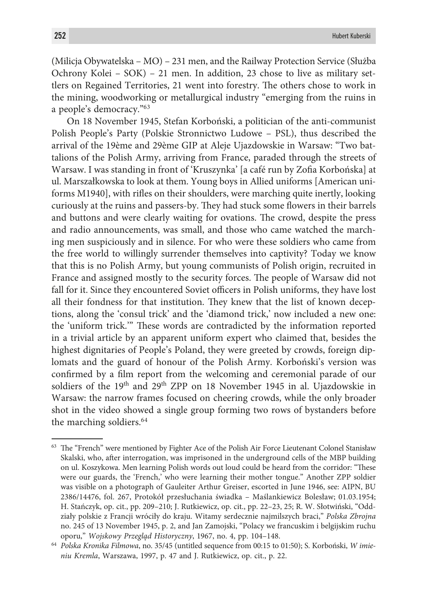(Milicja Obywatelska – MO) – 231 men, and the Railway Protection Service (Służba Ochrony Kolei – SOK) – 21 men. In addition, 23 chose to live as military settlers on Regained Territories, 21 went into forestry. The others chose to work in the mining, woodworking or metallurgical industry "emerging from the ruins in a people's democracy."63

On 18 November 1945, Stefan Korboński, a politician of the anti-communist Polish People's Party (Polskie Stronnictwo Ludowe – PSL), thus described the arrival of the 19ème and 29ème GIP at Aleje Ujazdowskie in Warsaw: "Two battalions of the Polish Army, arriving from France, paraded through the streets of Warsaw. I was standing in front of 'Kruszynka' [a café run by Zofia Korbońska] at ul. Marszałkowska to look at them. Young boys in Allied uniforms [American uniforms M1940], with rifles on their shoulders, were marching quite inertly, looking curiously at the ruins and passers-by. They had stuck some flowers in their barrels and buttons and were clearly waiting for ovations. The crowd, despite the press and radio announcements, was small, and those who came watched the marching men suspiciously and in silence. For who were these soldiers who came from the free world to willingly surrender themselves into captivity? Today we know that this is no Polish Army, but young communists of Polish origin, recruited in France and assigned mostly to the security forces. The people of Warsaw did not fall for it. Since they encountered Soviet officers in Polish uniforms, they have lost all their fondness for that institution. They knew that the list of known deceptions, along the 'consul trick' and the 'diamond trick,' now included a new one: the 'uniform trick.'" These words are contradicted by the information reported in a trivial article by an apparent uniform expert who claimed that, besides the highest dignitaries of People's Poland, they were greeted by crowds, foreign diplomats and the guard of honour of the Polish Army. Korboński's version was confirmed by a film report from the welcoming and ceremonial parade of our soldiers of the 19<sup>th</sup> and 29<sup>th</sup> ZPP on 18 November 1945 in al. Ujazdowskie in Warsaw: the narrow frames focused on cheering crowds, while the only broader shot in the video showed a single group forming two rows of bystanders before the marching soldiers.<sup>64</sup>

<sup>&</sup>lt;sup>63</sup> The "French" were mentioned by Fighter Ace of the Polish Air Force Lieutenant Colonel Stanisław Skalski, who, after interrogation, was imprisoned in the underground cells of the MBP building on ul. Koszykowa. Men learning Polish words out loud could be heard from the corridor: "These were our guards, the 'French,' who were learning their mother tongue." Another ZPP soldier was visible on a photograph of Gauleiter Arthur Greiser, escorted in June 1946, see: AIPN, BU 2386/14476, fol. 267, Protokół przesłuchania świadka – Maślankiewicz Bolesław; 01.03.1954; H. Stańczyk, op. cit., pp. 209–210; J. Rutkiewicz, op. cit., pp. 22–23, 25; R. W. Słotwiński, "Oddziały polskie z Francji wróciły do kraju. Witamy serdecznie najmilszych braci," *Polska Zbrojna* no. 245 of 13 November 1945, p. 2, and Jan Zamojski, "Polacy we francuskim i belgijskim ruchu oporu," *Wojskowy Przegląd Historyczny*, 1967, no. 4, pp. 104–148.

<sup>64</sup> *Polska Kronika Filmowa*, no. 35/45 (untitled sequence from 00:15 to 01:50); S. Korboński, *W imieniu Kremla*, Warszawa, 1997, p. 47 and J. Rutkiewicz, op. cit., p. 22.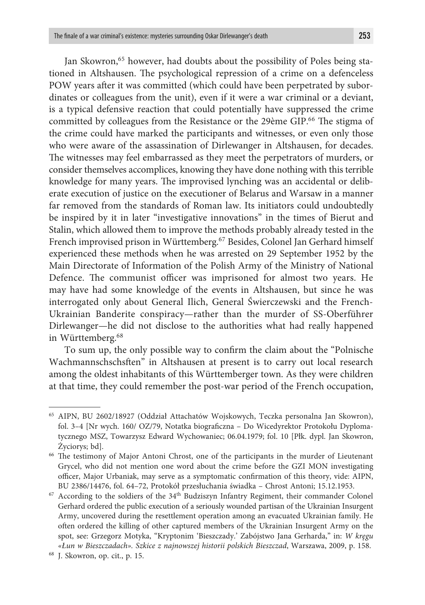Jan Skowron,<sup>65</sup> however, had doubts about the possibility of Poles being stationed in Altshausen. The psychological repression of a crime on a defenceless POW years after it was committed (which could have been perpetrated by subordinates or colleagues from the unit), even if it were a war criminal or a deviant, is a typical defensive reaction that could potentially have suppressed the crime committed by colleagues from the Resistance or the 29ème GIP.<sup>66</sup> The stigma of the crime could have marked the participants and witnesses, or even only those who were aware of the assassination of Dirlewanger in Altshausen, for decades. The witnesses may feel embarrassed as they meet the perpetrators of murders, or consider themselves accomplices, knowing they have done nothing with this terrible knowledge for many years. The improvised lynching was an accidental or deliberate execution of justice on the executioner of Belarus and Warsaw in a manner far removed from the standards of Roman law. Its initiators could undoubtedly be inspired by it in later "investigative innovations" in the times of Bierut and Stalin, which allowed them to improve the methods probably already tested in the French improvised prison in Württemberg.<sup>67</sup> Besides, Colonel Jan Gerhard himself experienced these methods when he was arrested on 29 September 1952 by the Main Directorate of Information of the Polish Army of the Ministry of National Defence. The communist officer was imprisoned for almost two years. He may have had some knowledge of the events in Altshausen, but since he was interrogated only about General Ilich, General Świerczewski and the French-Ukrainian Banderite conspiracy—rather than the murder of SS-Oberführer Dirlewanger—he did not disclose to the authorities what had really happened in Württemberg.68

To sum up, the only possible way to confirm the claim about the "Polnische Wachmannschschsften" in Altshausen at present is to carry out local research among the oldest inhabitants of this Württemberger town. As they were children at that time, they could remember the post-war period of the French occupation,

<sup>65</sup> AIPN, BU 2602/18927 (Oddział Attachatów Wojskowych, Teczka personalna Jan Skowron), fol. 3–4 [Nr wych. 160/ OZ/79, Notatka biograficzna – Do Wicedyrektor Protokołu Dyplomatycznego MSZ, Towarzysz Edward Wychowaniec; 06.04.1979; fol. 10 [Płk. dypl. Jan Skowron, Życiorys; bd].

<sup>66</sup> The testimony of Major Antoni Chrost, one of the participants in the murder of Lieutenant Grycel, who did not mention one word about the crime before the GZI MON investigating officer, Major Urbaniak, may serve as a symptomatic confirmation of this theory, vide: AIPN, BU 2386/14476, fol. 64–72, Protokół przesłuchania świadka – Chrost Antoni; 15.12.1953.

 $67$  According to the soldiers of the  $34<sup>th</sup>$  Budziszyn Infantry Regiment, their commander Colonel Gerhard ordered the public execution of a seriously wounded partisan of the Ukrainian Insurgent Army, uncovered during the resettlement operation among an evacuated Ukrainian family. He often ordered the killing of other captured members of the Ukrainian Insurgent Army on the spot, see: Grzegorz Motyka, "Kryptonim 'Bieszczady.' Zabójstwo Jana Gerharda," in: *W kręgu «Łun w Bieszczadach». Szkice z najnowszej historii polskich Bieszczad*, Warszawa, 2009, p. 158.

<sup>68</sup> J. Skowron, op. cit., p. 15.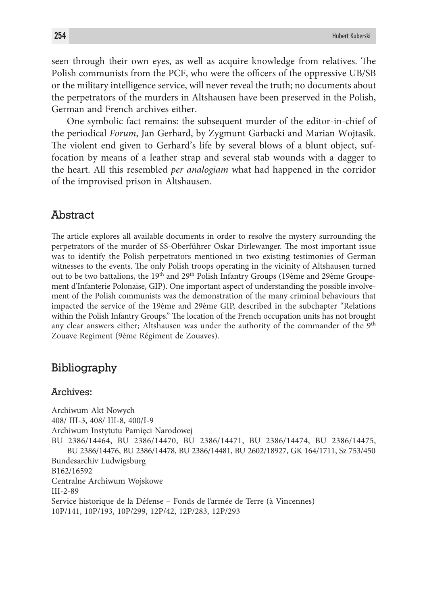seen through their own eyes, as well as acquire knowledge from relatives. The Polish communists from the PCF, who were the officers of the oppressive UB/SB or the military intelligence service, will never reveal the truth; no documents about the perpetrators of the murders in Altshausen have been preserved in the Polish, German and French archives either.

One symbolic fact remains: the subsequent murder of the editor-in-chief of the periodical *Forum*, Jan Gerhard, by Zygmunt Garbacki and Marian Wojtasik. The violent end given to Gerhard's life by several blows of a blunt object, suffocation by means of a leather strap and several stab wounds with a dagger to the heart. All this resembled *per analogiam* what had happened in the corridor of the improvised prison in Altshausen.

### Abstract

The article explores all available documents in order to resolve the mystery surrounding the perpetrators of the murder of SS-Oberführer Oskar Dirlewanger. The most important issue was to identify the Polish perpetrators mentioned in two existing testimonies of German witnesses to the events. The only Polish troops operating in the vicinity of Altshausen turned out to be two battalions, the 19<sup>th</sup> and 29<sup>th</sup> Polish Infantry Groups (19ème and 29ème Groupement d'Infanterie Polonaise, GIP). One important aspect of understanding the possible involvement of the Polish communists was the demonstration of the many criminal behaviours that impacted the service of the 19ème and 29ème GIP, described in the subchapter "Relations within the Polish Infantry Groups." The location of the French occupation units has not brought any clear answers either; Altshausen was under the authority of the commander of the 9<sup>th</sup> Zouave Regiment (9ème Régiment de Zouaves).

# Bibliography

#### Archives:

Archiwum Akt Nowych 408/ III-3, 408/ III-8, 400/I-9 Archiwum Instytutu Pamięci Narodowej BU 2386/14464, BU 2386/14470, BU 2386/14471, BU 2386/14474, BU 2386/14475, BU 2386/14476, BU 2386/14478, BU 2386/14481, BU 2602/18927, GK 164/1711, Sz 753/450 Bundesarchiv Ludwigsburg B162/16592 Centralne Archiwum Wojskowe III-2-89 Service historique de la Défense – Fonds de l'armée de Terre (à Vincennes) 10P/141, 10P/193, 10P/299, 12P/42, 12P/283, 12P/293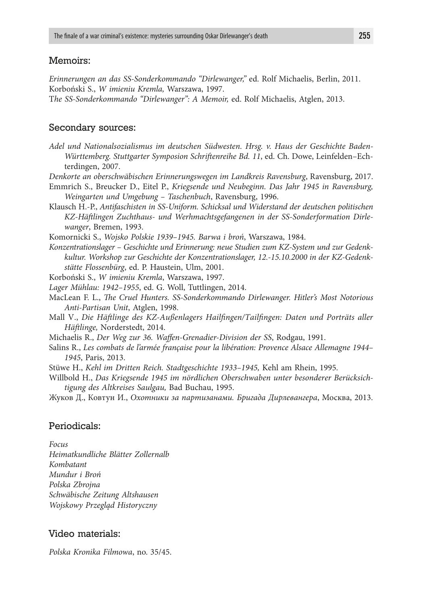### Memoirs:

*Erinnerungen an das SS-Sonderkommando "Dirlewanger,"* ed. Rolf Michaelis, Berlin, 2011. Korboński S., *W imieniu Kremla,* Warszawa, 1997.

T*he SS-Sonderkommando "Dirlewanger": A Memoir,* ed. Rolf Michaelis, Atglen, 2013.

#### Secondary sources:

- *Adel und Nationalsozialismus im deutschen Südwesten. Hrsg. v. Haus der Geschichte Baden-Württemberg. Stuttgarter Symposion Schriftenreihe Bd. 11*, ed. Ch. Dowe, Leinfelden–Echterdingen, 2007.
- *Denkorte an oberschwäbischen Erinnerungswegen im Landkreis Ravensburg*, Ravensburg, 2017.
- Emmrich S., Breucker D., Eitel P., *Kriegsende und Neubeginn. Das Jahr 1945 in Ravensburg, Weingarten und Umgebung – Taschenbuch*, Ravensburg, 1996.
- Klausch H.-P., *Antifaschisten in SS-Uniform. Schicksal und Widerstand der deutschen politischen KZ-Häftlingen Zuchthaus- und Werhmachtsgefangenen in der SS-Sonderformation Dirlewanger*, Bremen, 1993.
- Komornicki S., *Wojsko Polskie 1939–1945. Barwa i broń*, Warszawa, 1984.
- *Konzentrationslager Geschichte und Erinnerung: neue Studien zum KZ-System und zur Gedenkkultur. Workshop zur Geschichte der Konzentrationslager, 12.-15.10.2000 in der KZ-Gedenkstätte Flossenbürg*, ed. P. Haustein, Ulm, 2001.

Korboński S., *W imieniu Kremla*, Warszawa, 1997.

- *Lager Mühlau: 1942–1955*, ed. G. Woll, Tuttlingen, 2014.
- MacLean F. L., *The Cruel Hunters. SS-Sonderkommando Dirlewanger. Hitler's Most Notorious Anti-Partisan Unit*, Atglen, 1998.
- Mall V., *Die Häftlinge des KZ-Außenlagers Hailfingen/Tailfingen: Daten und Porträts aller Häftlinge,* Norderstedt, 2014.
- Michaelis R., *Der Weg zur 36. Waffen-Grenadier-Division der SS*, Rodgau, 1991.
- Salins R., *Les combats de l'armée française pour la libération: Provence Alsace Allemagne 1944– 1945*, Paris, 2013.
- Stüwe H., *Kehl im Dritten Reich. Stadtgeschichte 1933–1945,* Kehl am Rhein, 1995.
- Willbold H., *Das Kriegsende 1945 im nördlichen Oberschwaben unter besonderer Berücksichtigung des Altkreises Saulgau,* Bad Buchau, 1995.
- Жуков Д., Ковтун И., *Охотники за партизанами. Бригада Дирлевангера*, Москва, 2013.

### Periodicals:

*Focus*

*Heimatkundliche Blätter Zollernalb Kombatant Mundur i Broń Polska Zbrojna Schwäbische Zeitung Altshausen Wojskowy Przegląd Historyczny* 

#### Video materials:

*Polska Kronika Filmowa*, no. 35/45.